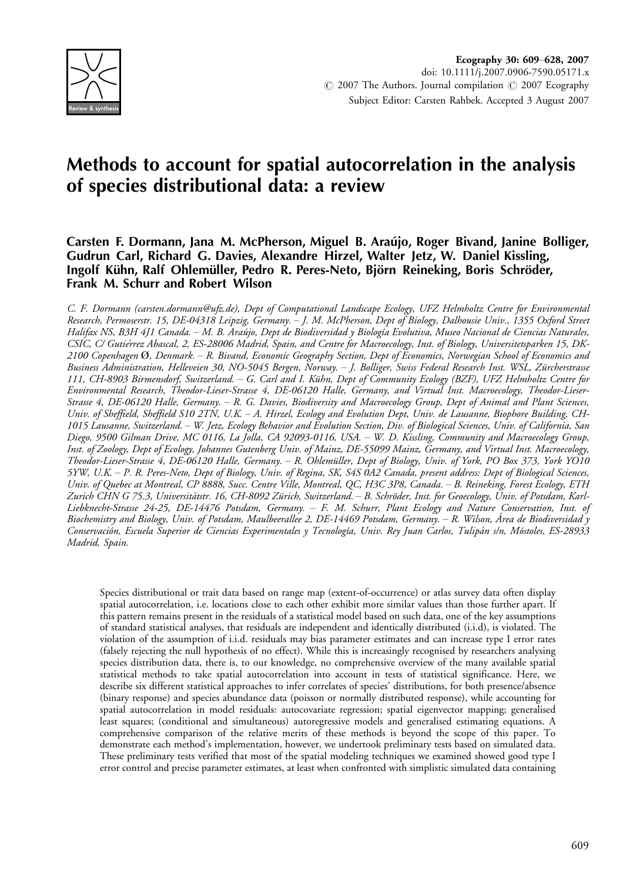

# Methods to account for spatial autocorrelation in the analysis of species distributional data: a review

# Carsten F. Dormann, Jana M. McPherson, Miguel B. Arau´jo, Roger Bivand, Janine Bolliger, Gudrun Carl, Richard G. Davies, Alexandre Hirzel, Walter Jetz, W. Daniel Kissling, Ingolf Kühn, Ralf Ohlemüller, Pedro R. Peres-Neto, Björn Reineking, Boris Schröder, Frank M. Schurr and Robert Wilson

C. F. Dormann (carsten.dormann@ufz.de), Dept of Computational Landscape Ecology, UFZ Helmholtz Centre for Environmental Research, Permoserstr. 15, DE-04318 Leipzig, Germany. - J. M. McPherson, Dept of Biology, Dalhousie Univ., 1355 Oxford Street Halifax NS, B3H 4J1 Canada. – M. B. Araújo, Dept de Biodiversidad y Biología Evolutiva, Museo Nacional de Ciencias Naturales, CSIC, C/ Gutie´rrez Abascal, 2, ES-28006 Madrid, Spain, and Centre for Macroecology, Inst. of Biology, Universitetsparken 15, DK-2100 Copenhagen Ø, Denmark. R. Bivand, Economic Geography Section, Dept of Economics, Norwegian School of Economics and Business Administration, Helleveien 30, NO-5045 Bergen, Norway. - J. Bolliger, Swiss Federal Research Inst. WSL, Zürcherstrasse 111, CH-8903 Birmensdorf, Switzerland. – G. Carl and I. Kühn, Dept of Community Ecology (BZF), UFZ Helmholtz Centre for Environmental Research, Theodor-Lieser-Strasse 4, DE-06120 Halle, Germany, and Virtual Inst. Macroecology, Theodor-Lieser-Strasse 4, DE-06120 Halle, Germany. R. G. Davies, Biodiversity and Macroecology Group, Dept of Animal and Plant Sciences, Univ. of Sheffield, Sheffield S10 2TN, U.K. A. Hirzel, Ecology and Evolution Dept, Univ. de Lausanne, Biophore Building, CH-1015 Lausanne, Switzerland. W. Jetz, Ecology Behavior and Evolution Section, Div. of Biological Sciences, Univ. of California, San Diego, 9500 Gilman Drive, MC 0116, La Jolla, CA 92093-0116, USA. W. D. Kissling, Community and Macroecology Group, Inst. of Zoology, Dept of Ecology, Johannes Gutenberg Univ. of Mainz, DE-55099 Mainz, Germany, and Virtual Inst. Macroecology, Theodor-Lieser-Strasse 4, DE-06120 Halle, Germany. – R. Ohlemüller, Dept of Biology, Univ. of York, PO Box 373, York YO10 5YW, U.K. P. R. Peres-Neto, Dept of Biology, Univ. of Regina, SK, S4S 0A2 Canada, present address: Dept of Biological Sciences, Univ. of Quebec at Montreal, CP 8888, Succ. Centre Ville, Montreal, QC, H3C 3P8, Canada. B. Reineking, Forest Ecology, ETH Zurich CHN G 75.3, Universitätstr. 16, CH-8092 Zürich, Switzerland. – B. Schröder, Inst. for Geoecology, Univ. of Potsdam, Karl-Liebknecht-Strasse 24-25, DE-14476 Potsdam, Germany. - F. M. Schurr, Plant Ecology and Nature Conservation, Inst. of Biochemistry and Biology, Univ. of Potsdam, Maulbeerallee 2, DE-14469 Potsdam, Germany. – R. Wilson, Área de Biodiversidad y Conservación, Escuela Superior de Ciencias Experimentales y Tecnología, Univ. Rey Juan Carlos, Tulipán s/n, Móstoles, ES-28933 Madrid, Spain.

Species distributional or trait data based on range map (extent-of-occurrence) or atlas survey data often display spatial autocorrelation, i.e. locations close to each other exhibit more similar values than those further apart. If this pattern remains present in the residuals of a statistical model based on such data, one of the key assumptions of standard statistical analyses, that residuals are independent and identically distributed (i.i.d), is violated. The violation of the assumption of i.i.d. residuals may bias parameter estimates and can increase type I error rates (falsely rejecting the null hypothesis of no effect). While this is increasingly recognised by researchers analysing species distribution data, there is, to our knowledge, no comprehensive overview of the many available spatial statistical methods to take spatial autocorrelation into account in tests of statistical significance. Here, we describe six different statistical approaches to infer correlates of species' distributions, for both presence/absence (binary response) and species abundance data (poisson or normally distributed response), while accounting for spatial autocorrelation in model residuals: autocovariate regression; spatial eigenvector mapping; generalised least squares; (conditional and simultaneous) autoregressive models and generalised estimating equations. A comprehensive comparison of the relative merits of these methods is beyond the scope of this paper. To demonstrate each method's implementation, however, we undertook preliminary tests based on simulated data. These preliminary tests verified that most of the spatial modeling techniques we examined showed good type I error control and precise parameter estimates, at least when confronted with simplistic simulated data containing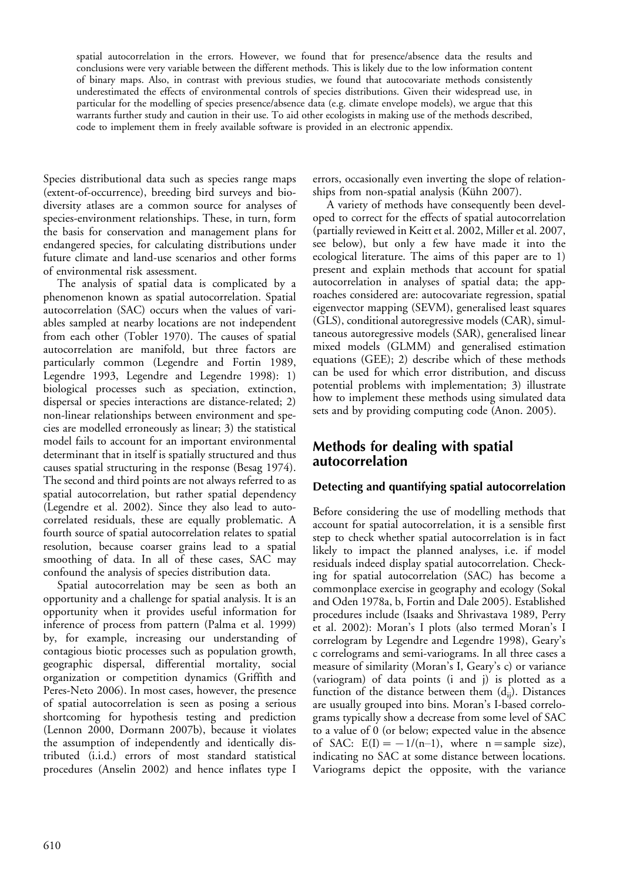spatial autocorrelation in the errors. However, we found that for presence/absence data the results and conclusions were very variable between the different methods. This is likely due to the low information content of binary maps. Also, in contrast with previous studies, we found that autocovariate methods consistently underestimated the effects of environmental controls of species distributions. Given their widespread use, in particular for the modelling of species presence/absence data (e.g. climate envelope models), we argue that this warrants further study and caution in their use. To aid other ecologists in making use of the methods described, code to implement them in freely available software is provided in an electronic appendix.

Species distributional data such as species range maps (extent-of-occurrence), breeding bird surveys and biodiversity atlases are a common source for analyses of species-environment relationships. These, in turn, form the basis for conservation and management plans for endangered species, for calculating distributions under future climate and land-use scenarios and other forms of environmental risk assessment.

The analysis of spatial data is complicated by a phenomenon known as spatial autocorrelation. Spatial autocorrelation (SAC) occurs when the values of variables sampled at nearby locations are not independent from each other (Tobler 1970). The causes of spatial autocorrelation are manifold, but three factors are particularly common (Legendre and Fortin 1989, Legendre 1993, Legendre and Legendre 1998): 1) biological processes such as speciation, extinction, dispersal or species interactions are distance-related; 2) non-linear relationships between environment and species are modelled erroneously as linear; 3) the statistical model fails to account for an important environmental determinant that in itself is spatially structured and thus causes spatial structuring in the response (Besag 1974). The second and third points are not always referred to as spatial autocorrelation, but rather spatial dependency (Legendre et al. 2002). Since they also lead to autocorrelated residuals, these are equally problematic. A fourth source of spatial autocorrelation relates to spatial resolution, because coarser grains lead to a spatial smoothing of data. In all of these cases, SAC may confound the analysis of species distribution data.

Spatial autocorrelation may be seen as both an opportunity and a challenge for spatial analysis. It is an opportunity when it provides useful information for inference of process from pattern (Palma et al. 1999) by, for example, increasing our understanding of contagious biotic processes such as population growth, geographic dispersal, differential mortality, social organization or competition dynamics (Griffith and Peres-Neto 2006). In most cases, however, the presence of spatial autocorrelation is seen as posing a serious shortcoming for hypothesis testing and prediction (Lennon 2000, Dormann 2007b), because it violates the assumption of independently and identically distributed (i.i.d.) errors of most standard statistical procedures (Anselin 2002) and hence inflates type I

errors, occasionally even inverting the slope of relationships from non-spatial analysis (Kühn 2007).

A variety of methods have consequently been developed to correct for the effects of spatial autocorrelation (partially reviewed in Keitt et al. 2002, Miller et al. 2007, see below), but only a few have made it into the ecological literature. The aims of this paper are to 1) present and explain methods that account for spatial autocorrelation in analyses of spatial data; the approaches considered are: autocovariate regression, spatial eigenvector mapping (SEVM), generalised least squares (GLS), conditional autoregressive models (CAR), simultaneous autoregressive models (SAR), generalised linear mixed models (GLMM) and generalised estimation equations (GEE); 2) describe which of these methods can be used for which error distribution, and discuss potential problems with implementation; 3) illustrate how to implement these methods using simulated data sets and by providing computing code (Anon. 2005).

# Methods for dealing with spatial autocorrelation

### Detecting and quantifying spatial autocorrelation

Before considering the use of modelling methods that account for spatial autocorrelation, it is a sensible first step to check whether spatial autocorrelation is in fact likely to impact the planned analyses, i.e. if model residuals indeed display spatial autocorrelation. Checking for spatial autocorrelation (SAC) has become a commonplace exercise in geography and ecology (Sokal and Oden 1978a, b, Fortin and Dale 2005). Established procedures include (Isaaks and Shrivastava 1989, Perry et al. 2002): Moran's I plots (also termed Moran's I correlogram by Legendre and Legendre 1998), Geary's c correlograms and semi-variograms. In all three cases a measure of similarity (Moran's I, Geary's c) or variance (variogram) of data points (i and j) is plotted as a function of the distance between them  $(d_{ij})$ . Distances are usually grouped into bins. Moran's I-based correlograms typically show a decrease from some level of SAC to a value of 0 (or below; expected value in the absence of SAC:  $E(I) = -1/(n-1)$ , where  $n =$ sample size), indicating no SAC at some distance between locations. Variograms depict the opposite, with the variance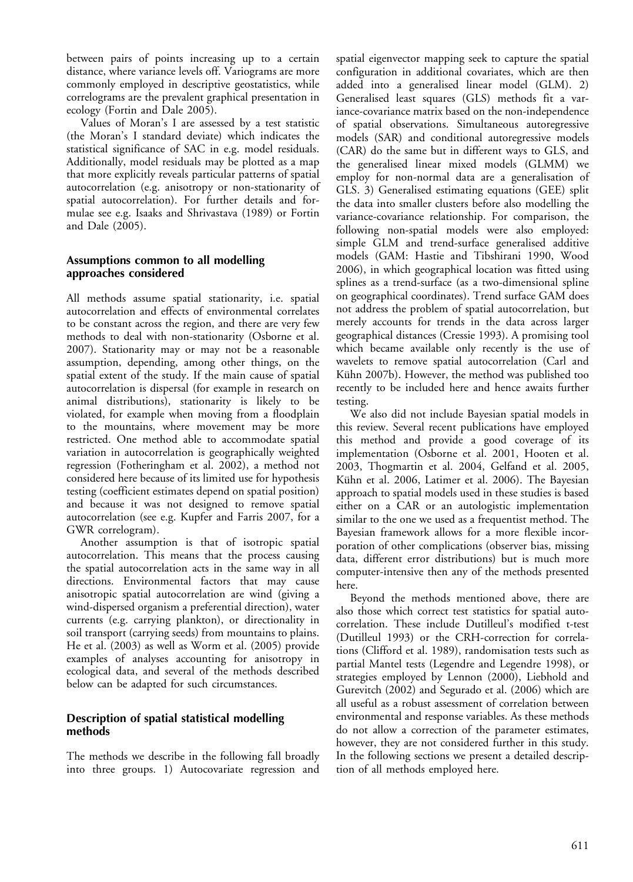between pairs of points increasing up to a certain distance, where variance levels off. Variograms are more commonly employed in descriptive geostatistics, while correlograms are the prevalent graphical presentation in ecology (Fortin and Dale 2005).

Values of Moran's I are assessed by a test statistic (the Moran's I standard deviate) which indicates the statistical significance of SAC in e.g. model residuals. Additionally, model residuals may be plotted as a map that more explicitly reveals particular patterns of spatial autocorrelation (e.g. anisotropy or non-stationarity of spatial autocorrelation). For further details and formulae see e.g. Isaaks and Shrivastava (1989) or Fortin and Dale (2005).

### Assumptions common to all modelling approaches considered

All methods assume spatial stationarity, i.e. spatial autocorrelation and effects of environmental correlates to be constant across the region, and there are very few methods to deal with non-stationarity (Osborne et al. 2007). Stationarity may or may not be a reasonable assumption, depending, among other things, on the spatial extent of the study. If the main cause of spatial autocorrelation is dispersal (for example in research on animal distributions), stationarity is likely to be violated, for example when moving from a floodplain to the mountains, where movement may be more restricted. One method able to accommodate spatial variation in autocorrelation is geographically weighted regression (Fotheringham et al. 2002), a method not considered here because of its limited use for hypothesis testing (coefficient estimates depend on spatial position) and because it was not designed to remove spatial autocorrelation (see e.g. Kupfer and Farris 2007, for a GWR correlogram).

Another assumption is that of isotropic spatial autocorrelation. This means that the process causing the spatial autocorrelation acts in the same way in all directions. Environmental factors that may cause anisotropic spatial autocorrelation are wind (giving a wind-dispersed organism a preferential direction), water currents (e.g. carrying plankton), or directionality in soil transport (carrying seeds) from mountains to plains. He et al. (2003) as well as Worm et al. (2005) provide examples of analyses accounting for anisotropy in ecological data, and several of the methods described below can be adapted for such circumstances.

### Description of spatial statistical modelling methods

The methods we describe in the following fall broadly into three groups. 1) Autocovariate regression and spatial eigenvector mapping seek to capture the spatial configuration in additional covariates, which are then added into a generalised linear model (GLM). 2) Generalised least squares (GLS) methods fit a variance-covariance matrix based on the non-independence of spatial observations. Simultaneous autoregressive models (SAR) and conditional autoregressive models (CAR) do the same but in different ways to GLS, and the generalised linear mixed models (GLMM) we employ for non-normal data are a generalisation of GLS. 3) Generalised estimating equations (GEE) split the data into smaller clusters before also modelling the variance-covariance relationship. For comparison, the following non-spatial models were also employed: simple GLM and trend-surface generalised additive models (GAM: Hastie and Tibshirani 1990, Wood 2006), in which geographical location was fitted using splines as a trend-surface (as a two-dimensional spline on geographical coordinates). Trend surface GAM does not address the problem of spatial autocorrelation, but merely accounts for trends in the data across larger geographical distances (Cressie 1993). A promising tool which became available only recently is the use of wavelets to remove spatial autocorrelation (Carl and Kühn 2007b). However, the method was published too recently to be included here and hence awaits further testing.

We also did not include Bayesian spatial models in this review. Several recent publications have employed this method and provide a good coverage of its implementation (Osborne et al. 2001, Hooten et al. 2003, Thogmartin et al. 2004, Gelfand et al. 2005, Kühn et al. 2006, Latimer et al. 2006). The Bayesian approach to spatial models used in these studies is based either on a CAR or an autologistic implementation similar to the one we used as a frequentist method. The Bayesian framework allows for a more flexible incorporation of other complications (observer bias, missing data, different error distributions) but is much more computer-intensive then any of the methods presented here.

Beyond the methods mentioned above, there are also those which correct test statistics for spatial autocorrelation. These include Dutilleul's modified t-test (Dutilleul 1993) or the CRH-correction for correlations (Clifford et al. 1989), randomisation tests such as partial Mantel tests (Legendre and Legendre 1998), or strategies employed by Lennon (2000), Liebhold and Gurevitch (2002) and Segurado et al. (2006) which are all useful as a robust assessment of correlation between environmental and response variables. As these methods do not allow a correction of the parameter estimates, however, they are not considered further in this study. In the following sections we present a detailed description of all methods employed here.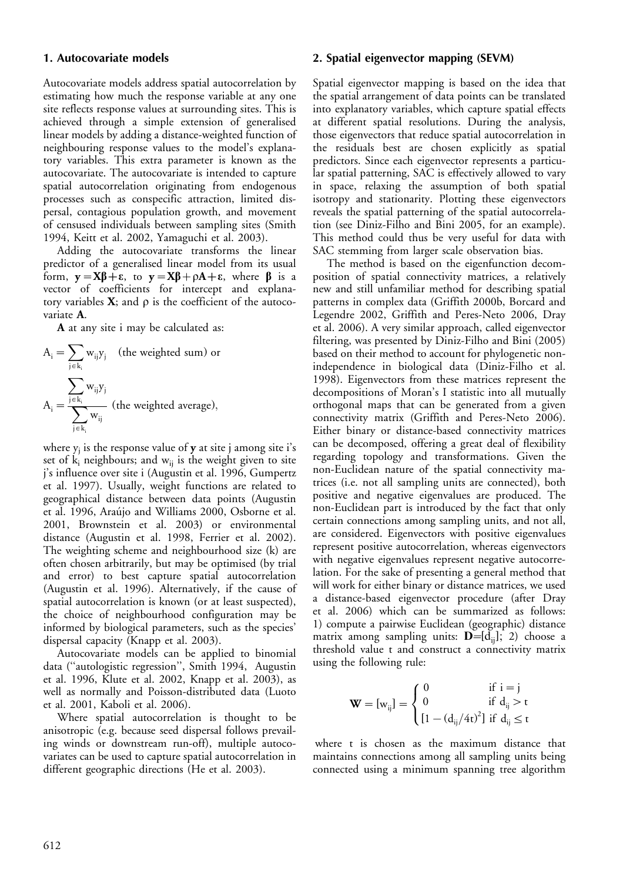#### 1. Autocovariate models

Autocovariate models address spatial autocorrelation by estimating how much the response variable at any one site reflects response values at surrounding sites. This is achieved through a simple extension of generalised linear models by adding a distance-weighted function of neighbouring response values to the model's explanatory variables. This extra parameter is known as the autocovariate. The autocovariate is intended to capture spatial autocorrelation originating from endogenous processes such as conspecific attraction, limited dispersal, contagious population growth, and movement of censused individuals between sampling sites (Smith 1994, Keitt et al. 2002, Yamaguchi et al. 2003).

Adding the autocovariate transforms the linear predictor of a generalised linear model from its usual form,  $y = X\beta + \epsilon$ , to  $y = X\beta + \rho A + \epsilon$ , where  $\beta$  is a vector of coefficients for intercept and explanatory variables  $X$ ; and  $\rho$  is the coefficient of the autocovariate A.

A at any site i may be calculated as:

$$
A_i = \sum_{j \in k_i} w_{ij} y_j
$$
 (the weighted sum) or  

$$
A_i = \frac{\sum_{j \in k_i} w_{ij} y_j}{\sum_{j \in k_i} w_{ij}}
$$
 (the weighted average),

where  $y_i$  is the response value of  $y$  at site j among site i's set of  $k_i$  neighbours; and  $w_{ij}$  is the weight given to site j's influence over site i (Augustin et al. 1996, Gumpertz et al. 1997). Usually, weight functions are related to geographical distance between data points (Augustin et al. 1996, Araújo and Williams 2000, Osborne et al. 2001, Brownstein et al. 2003) or environmental distance (Augustin et al. 1998, Ferrier et al. 2002). The weighting scheme and neighbourhood size (k) are often chosen arbitrarily, but may be optimised (by trial and error) to best capture spatial autocorrelation (Augustin et al. 1996). Alternatively, if the cause of spatial autocorrelation is known (or at least suspected), the choice of neighbourhood configuration may be informed by biological parameters, such as the species' dispersal capacity (Knapp et al. 2003).

Autocovariate models can be applied to binomial data (''autologistic regression'', Smith 1994, Augustin et al. 1996, Klute et al. 2002, Knapp et al. 2003), as well as normally and Poisson-distributed data (Luoto et al. 2001, Kaboli et al. 2006).

Where spatial autocorrelation is thought to be anisotropic (e.g. because seed dispersal follows prevailing winds or downstream run-off), multiple autocovariates can be used to capture spatial autocorrelation in different geographic directions (He et al. 2003).

#### 2. Spatial eigenvector mapping (SEVM)

Spatial eigenvector mapping is based on the idea that the spatial arrangement of data points can be translated into explanatory variables, which capture spatial effects at different spatial resolutions. During the analysis, those eigenvectors that reduce spatial autocorrelation in the residuals best are chosen explicitly as spatial predictors. Since each eigenvector represents a particular spatial patterning, SAC is effectively allowed to vary in space, relaxing the assumption of both spatial isotropy and stationarity. Plotting these eigenvectors reveals the spatial patterning of the spatial autocorrelation (see Diniz-Filho and Bini 2005, for an example). This method could thus be very useful for data with SAC stemming from larger scale observation bias.

The method is based on the eigenfunction decomposition of spatial connectivity matrices, a relatively new and still unfamiliar method for describing spatial patterns in complex data (Griffith 2000b, Borcard and Legendre 2002, Griffith and Peres-Neto 2006, Dray et al. 2006). A very similar approach, called eigenvector filtering, was presented by Diniz-Filho and Bini (2005) based on their method to account for phylogenetic nonindependence in biological data (Diniz-Filho et al. 1998). Eigenvectors from these matrices represent the decompositions of Moran's I statistic into all mutually orthogonal maps that can be generated from a given connectivity matrix (Griffith and Peres-Neto 2006). Either binary or distance-based connectivity matrices can be decomposed, offering a great deal of flexibility regarding topology and transformations. Given the non-Euclidean nature of the spatial connectivity matrices (i.e. not all sampling units are connected), both positive and negative eigenvalues are produced. The non-Euclidean part is introduced by the fact that only certain connections among sampling units, and not all, are considered. Eigenvectors with positive eigenvalues represent positive autocorrelation, whereas eigenvectors with negative eigenvalues represent negative autocorrelation. For the sake of presenting a general method that will work for either binary or distance matrices, we used a distance-based eigenvector procedure (after Dray et al. 2006) which can be summarized as follows: 1) compute a pairwise Euclidean (geographic) distance matrix among sampling units:  $\mathbf{D} = [d_{ij}]$ ; 2) choose a threshold value t and construct a connectivity matrix using the following rule:

$$
\mathbf{W} = [w_{ij}] = \begin{cases} 0 & \text{if } i = j \\ 0 & \text{if } d_{ij} > t \\ \left[1 - (d_{ij}/4t)^2\right] \text{if } d_{ij} \le t \end{cases}
$$

where t is chosen as the maximum distance that maintains connections among all sampling units being connected using a minimum spanning tree algorithm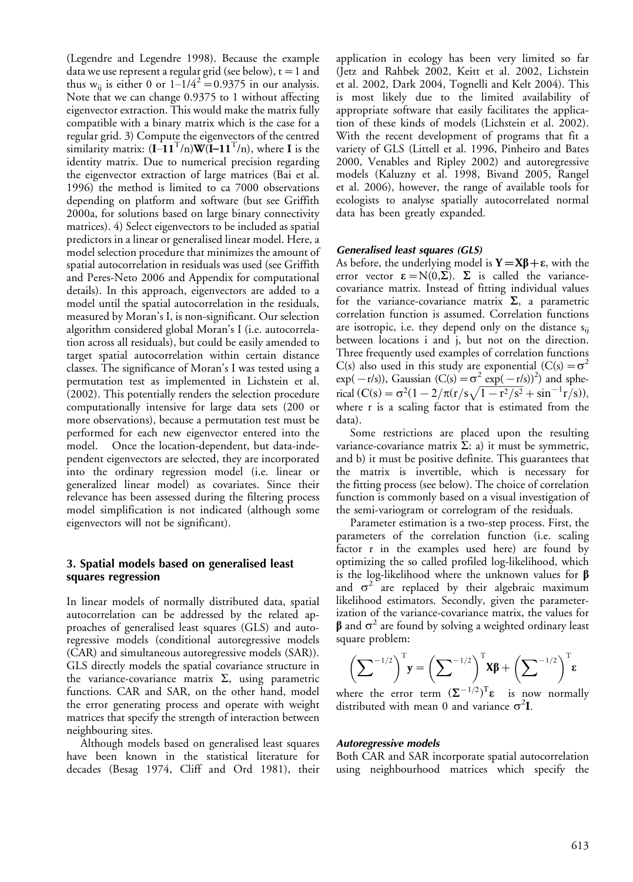(Legendre and Legendre 1998). Because the example data we use represent a regular grid (see below),  $t = 1$  and thus w<sub>ij</sub> is either 0 or  $1-\frac{1}{4^2} = 0.9375$  in our analysis. Note that we can change 0.9375 to 1 without affecting eigenvector extraction. This would make the matrix fully compatible with a binary matrix which is the case for a regular grid. 3) Compute the eigenvectors of the centred similarity matrix:  $(I - 11^T/n)W(I - 11^T/n)$ , where I is the identity matrix. Due to numerical precision regarding the eigenvector extraction of large matrices (Bai et al. 1996) the method is limited to ca 7000 observations depending on platform and software (but see Griffith 2000a, for solutions based on large binary connectivity matrices). 4) Select eigenvectors to be included as spatial predictors in a linear or generalised linear model. Here, a model selection procedure that minimizes the amount of spatial autocorrelation in residuals was used (see Griffith and Peres-Neto 2006 and Appendix for computational details). In this approach, eigenvectors are added to a model until the spatial autocorrelation in the residuals, measured by Moran's I, is non-significant. Our selection algorithm considered global Moran's I (i.e. autocorrelation across all residuals), but could be easily amended to target spatial autocorrelation within certain distance classes. The significance of Moran's I was tested using a permutation test as implemented in Lichstein et al. (2002). This potentially renders the selection procedure computationally intensive for large data sets (200 or more observations), because a permutation test must be performed for each new eigenvector entered into the model. Once the location-dependent, but data-independent eigenvectors are selected, they are incorporated into the ordinary regression model (i.e. linear or generalized linear model) as covariates. Since their relevance has been assessed during the filtering process model simplification is not indicated (although some eigenvectors will not be significant).

### 3. Spatial models based on generalised least squares regression

In linear models of normally distributed data, spatial autocorrelation can be addressed by the related approaches of generalised least squares (GLS) and autoregressive models (conditional autoregressive models (CAR) and simultaneous autoregressive models (SAR)). GLS directly models the spatial covariance structure in the variance-covariance matrix  $\Sigma$ , using parametric functions. CAR and SAR, on the other hand, model the error generating process and operate with weight matrices that specify the strength of interaction between neighbouring sites.

Although models based on generalised least squares have been known in the statistical literature for decades (Besag 1974, Cliff and Ord 1981), their

application in ecology has been very limited so far (Jetz and Rahbek 2002, Keitt et al. 2002, Lichstein et al. 2002, Dark 2004, Tognelli and Kelt 2004). This is most likely due to the limited availability of appropriate software that easily facilitates the application of these kinds of models (Lichstein et al. 2002). With the recent development of programs that fit a variety of GLS (Littell et al. 1996, Pinheiro and Bates 2000, Venables and Ripley 2002) and autoregressive models (Kaluzny et al. 1998, Bivand 2005, Rangel et al. 2006), however, the range of available tools for ecologists to analyse spatially autocorrelated normal data has been greatly expanded.

#### Generalised least squares (GLS)

As before, the underlying model is  $Y = X\beta + \epsilon$ , with the error vector  $\epsilon = N(0,\Sigma)$ .  $\Sigma$  is called the variancecovariance matrix. Instead of fitting individual values for the variance-covariance matrix  $\Sigma$ , a parametric correlation function is assumed. Correlation functions are isotropic, i.e. they depend only on the distance  $s_{ij}$ between locations i and j, but not on the direction. Three frequently used examples of correlation functions C(s) also used in this study are exponential  $(C(s) = \sigma^2)$  $exp(-r/s)$ ), Gaussian  $(C(s) = \sigma^2 exp(-r/s))^2$  and spherical  $(C(s) = \sigma^2(1 - 2/\pi(r/s\sqrt{1 - r^2/s^2} + \sin^{-1}r/s))$ ; where r is a scaling factor that is estimated from the data).

Some restrictions are placed upon the resulting variance-covariance matrix  $\Sigma$ : a) it must be symmetric, and b) it must be positive definite. This guarantees that the matrix is invertible, which is necessary for the fitting process (see below). The choice of correlation function is commonly based on a visual investigation of the semi-variogram or correlogram of the residuals.

Parameter estimation is a two-step process. First, the parameters of the correlation function (i.e. scaling factor r in the examples used here) are found by optimizing the so called profiled log-likelihood, which is the log-likelihood where the unknown values for  $\beta$ and  $\sigma^2$  are replaced by their algebraic maximum likelihood estimators. Secondly, given the parameterization of the variance-covariance matrix, the values for  $\beta$  and  $\sigma^2$  are found by solving a weighted ordinary least square problem:

$$
\left(\sum_{i=1}^{-1/2}\right)^{T} \mathbf{y} = \left(\sum_{i=1}^{-1/2}\right)^{T} \mathbf{x} \boldsymbol{\beta} + \left(\sum_{i=1}^{-1/2}\right)^{T} \boldsymbol{\epsilon}
$$

where the error term  $(\Sigma^{-1/2})^T \varepsilon$  is now normally distributed with mean 0 and variance  $\sigma^2 I$ .

#### Autoregressive models

Both CAR and SAR incorporate spatial autocorrelation using neighbourhood matrices which specify the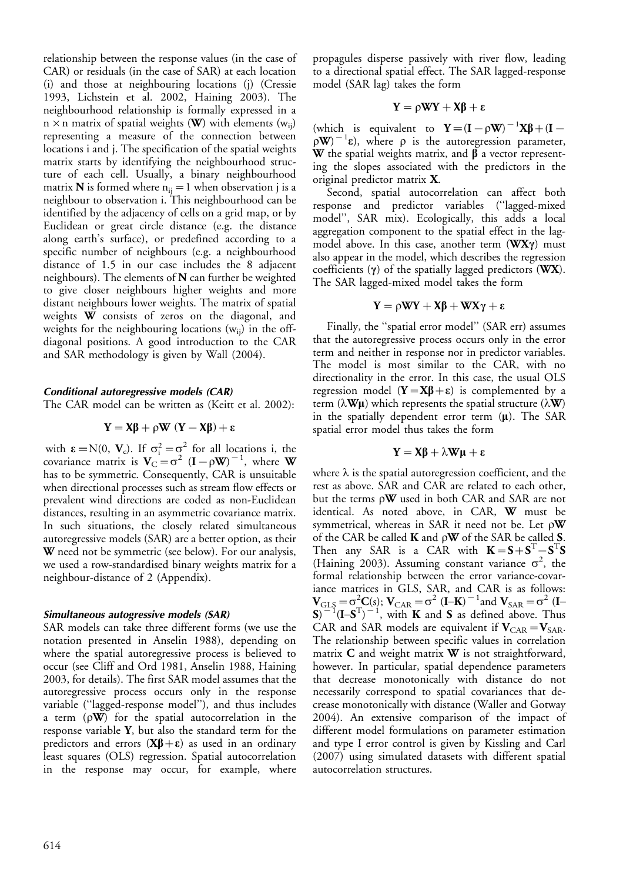relationship between the response values (in the case of CAR) or residuals (in the case of SAR) at each location (i) and those at neighbouring locations (j) (Cressie 1993, Lichstein et al. 2002, Haining 2003). The neighbourhood relationship is formally expressed in a  $n \times n$  matrix of spatial weights (W) with elements (w<sub>ii</sub>) representing a measure of the connection between locations i and j. The specification of the spatial weights matrix starts by identifying the neighbourhood structure of each cell. Usually, a binary neighbourhood matrix **N** is formed where  $n_{ij} = 1$  when observation j is a neighbour to observation i. This neighbourhood can be identified by the adjacency of cells on a grid map, or by Euclidean or great circle distance (e.g. the distance along earth's surface), or predefined according to a specific number of neighbours (e.g. a neighbourhood distance of 1.5 in our case includes the 8 adjacent neighbours). The elements of N can further be weighted to give closer neighbours higher weights and more distant neighbours lower weights. The matrix of spatial weights W consists of zeros on the diagonal, and weights for the neighbouring locations  $(w_{ij})$  in the offdiagonal positions. A good introduction to the CAR and SAR methodology is given by Wall (2004).

#### Conditional autoregressive models (CAR)

The CAR model can be written as (Keitt et al. 2002):

$$
Y = X\beta + \rho W (Y - X\beta) + \epsilon
$$

with  $\epsilon = N(0, V_c)$ . If  $\sigma_i^2 = \sigma^2$  for all locations i, the covariance matrix is  $V_C = \sigma^2 (I - \rho W)^{-1}$ , where W has to be symmetric. Consequently, CAR is unsuitable when directional processes such as stream flow effects or prevalent wind directions are coded as non-Euclidean distances, resulting in an asymmetric covariance matrix. In such situations, the closely related simultaneous autoregressive models (SAR) are a better option, as their W need not be symmetric (see below). For our analysis, we used a row-standardised binary weights matrix for a neighbour-distance of 2 (Appendix).

#### Simultaneous autogressive models (SAR)

SAR models can take three different forms (we use the notation presented in Anselin 1988), depending on where the spatial autoregressive process is believed to occur (see Cliff and Ord 1981, Anselin 1988, Haining 2003, for details). The first SAR model assumes that the autoregressive process occurs only in the response variable (''lagged-response model''), and thus includes a term  $(\rho \mathbf{W})$  for the spatial autocorrelation in the response variable Y, but also the standard term for the predictors and errors  $(X\beta + \varepsilon)$  as used in an ordinary least squares (OLS) regression. Spatial autocorrelation in the response may occur, for example, where

propagules disperse passively with river flow, leading to a directional spatial effect. The SAR lagged-response model (SAR lag) takes the form

$$
Y = \rho WY + X\beta + \epsilon
$$

(which is equivalent to  $Y = (I - \rho W)^{-1} X \beta + (I (\rho W)^{-1}\epsilon$ ), where  $\rho$  is the autoregression parameter, W the spatial weights matrix, and  $\beta$  a vector representing the slopes associated with the predictors in the original predictor matrix X.

Second, spatial autocorrelation can affect both response and predictor variables (''lagged-mixed model", SAR mix). Ecologically, this adds a local aggregation component to the spatial effect in the lagmodel above. In this case, another term  $(WX\gamma)$  must also appear in the model, which describes the regression coefficients  $(y)$  of the spatially lagged predictors (WX). The SAR lagged-mixed model takes the form

$$
Y = \rho WY + X\beta + WX\gamma + \epsilon
$$

Finally, the ''spatial error model'' (SAR err) assumes that the autoregressive process occurs only in the error term and neither in response nor in predictor variables. The model is most similar to the CAR, with no directionality in the error. In this case, the usual OLS regression model  $(Y = X\beta + \epsilon)$  is complemented by a term ( $\lambda W\mu$ ) which represents the spatial structure ( $\lambda W$ ) in the spatially dependent error term  $(\mu)$ . The SAR spatial error model thus takes the form

$$
Y = X\beta + \lambda W\mu + \epsilon
$$

where  $\lambda$  is the spatial autoregression coefficient, and the rest as above. SAR and CAR are related to each other, but the terms  $\rho W$  used in both CAR and SAR are not identical. As noted above, in CAR, W must be symmetrical, whereas in SAR it need not be. Let  $\rho \mathbf{W}$ of the CAR be called **K** and  $\rho$ **W** of the SAR be called **S**. Then any SAR is a CAR with  $K = S + S^{T} - S^{T}S$ (Haining 2003). Assuming constant variance  $\sigma^2$ , the formal relationship between the error variance-covariance matrices in GLS, SAR, and CAR is as follows:  $V_{\text{GLS}} = \sigma_{\text{T}}^2 \mathbf{C}(\mathbf{s})$ ;  $V_{\text{CAR}} = \sigma^2 \left( \mathbf{I} - \mathbf{K} \right)^{-1}$  and  $V_{\text{SAR}} = \sigma^2 \left( \mathbf{I} - \mathbf{K} \right)^{-1}$  $S^{\prime}$ <sup>-1</sup>(I-S<sup>T</sup>)<sup>-1</sup>, with **K** and **S** as defined above. Thus CAR and SAR models are equivalent if  $V_{\text{CAR}} = V_{\text{SAR}}$ . The relationship between specific values in correlation matrix  $C$  and weight matrix  $W$  is not straightforward, however. In particular, spatial dependence parameters that decrease monotonically with distance do not necessarily correspond to spatial covariances that decrease monotonically with distance (Waller and Gotway 2004). An extensive comparison of the impact of different model formulations on parameter estimation and type I error control is given by Kissling and Carl (2007) using simulated datasets with different spatial autocorrelation structures.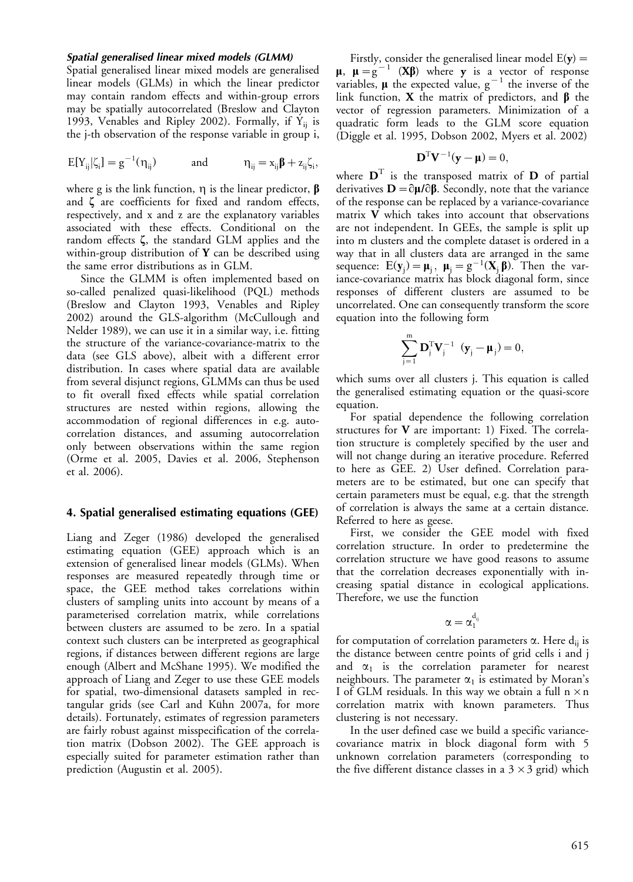#### Spatial generalised linear mixed models (GLMM)

Spatial generalised linear mixed models are generalised linear models (GLMs) in which the linear predictor may contain random effects and within-group errors may be spatially autocorrelated (Breslow and Clayton 1993, Venables and Ripley 2002). Formally, if  $Y_{ii}$  is the j-th observation of the response variable in group i,

$$
E[Y_{ij}|\zeta_i]=g^{-1}(\eta_{ij})\qquad\quad\text{and}\qquad\qquad \eta_{ij}=x_{ij}\pmb{\beta}+z_{ij}\zeta_i,
$$

where g is the link function,  $\eta$  is the linear predictor,  $\beta$ and  $\zeta$  are coefficients for fixed and random effects, respectively, and x and z are the explanatory variables associated with these effects. Conditional on the random effects  $\zeta$ , the standard GLM applies and the within-group distribution of  $Y$  can be described using the same error distributions as in GLM.

Since the GLMM is often implemented based on so-called penalized quasi-likelihood (PQL) methods (Breslow and Clayton 1993, Venables and Ripley 2002) around the GLS-algorithm (McCullough and Nelder 1989), we can use it in a similar way, i.e. fitting the structure of the variance-covariance-matrix to the data (see GLS above), albeit with a different error distribution. In cases where spatial data are available from several disjunct regions, GLMMs can thus be used to fit overall fixed effects while spatial correlation structures are nested within regions, allowing the accommodation of regional differences in e.g. autocorrelation distances, and assuming autocorrelation only between observations within the same region (Orme et al. 2005, Davies et al. 2006, Stephenson et al. 2006).

#### 4. Spatial generalised estimating equations (GEE)

Liang and Zeger (1986) developed the generalised estimating equation (GEE) approach which is an extension of generalised linear models (GLMs). When responses are measured repeatedly through time or space, the GEE method takes correlations within clusters of sampling units into account by means of a parameterised correlation matrix, while correlations between clusters are assumed to be zero. In a spatial context such clusters can be interpreted as geographical regions, if distances between different regions are large enough (Albert and McShane 1995). We modified the approach of Liang and Zeger to use these GEE models for spatial, two-dimensional datasets sampled in rectangular grids (see Carl and Kühn 2007a, for more details). Fortunately, estimates of regression parameters are fairly robust against misspecification of the correlation matrix (Dobson 2002). The GEE approach is especially suited for parameter estimation rather than prediction (Augustin et al. 2005).

Firstly, consider the generalised linear model  $E(y) =$  $\mu$ ,  $\mu = g^{-1}$  (X $\beta$ ) where y is a vector of response variables,  $\mu$  the expected value,  $g^{-1}$  the inverse of the link function, **X** the matrix of predictors, and  $\beta$  the vector of regression parameters. Minimization of a quadratic form leads to the GLM score equation (Diggle et al. 1995, Dobson 2002, Myers et al. 2002)

$$
\mathbf{D}^{\mathrm{T}}\mathbf{V}^{-1}(\mathbf{y}-\mathbf{\mu})=0,
$$

where  $\mathbf{D}^{\mathrm{T}}$  is the transposed matrix of  $\mathbf{D}$  of partial derivatives  $\mathbf{D} = \partial \boldsymbol{\mu} / \partial \boldsymbol{\beta}$ . Secondly, note that the variance of the response can be replaced by a variance-covariance matrix  $\overline{V}$  which takes into account that observations are not independent. In GEEs, the sample is split up into m clusters and the complete dataset is ordered in a way that in all clusters data are arranged in the same sequence:  $E(y_j) = \mu_j$ ,  $\mu_j = g^{-1}(X_j \beta)$ . Then the variance-covariance matrix has block diagonal form, since responses of different clusters are assumed to be uncorrelated. One can consequently transform the score equation into the following form

$$
\sum_{j=1}^{m} \mathbf{D}_{j}^{T} \mathbf{V}_{j}^{-1} \ (\mathbf{y}_{j} - \mathbf{\mu}_{j}) = 0,
$$

which sums over all clusters j. This equation is called the generalised estimating equation or the quasi-score equation.

For spatial dependence the following correlation structures for  $V$  are important: 1) Fixed. The correlation structure is completely specified by the user and will not change during an iterative procedure. Referred to here as GEE. 2) User defined. Correlation parameters are to be estimated, but one can specify that certain parameters must be equal, e.g. that the strength of correlation is always the same at a certain distance. Referred to here as geese.

First, we consider the GEE model with fixed correlation structure. In order to predetermine the correlation structure we have good reasons to assume that the correlation decreases exponentially with increasing spatial distance in ecological applications. Therefore, we use the function

$$
\alpha=\alpha_1^{d_{ij}}
$$

for computation of correlation parameters  $\alpha$ . Here  $d_{ii}$  is the distance between centre points of grid cells i and j and  $\alpha_1$  is the correlation parameter for nearest neighbours. The parameter  $\alpha_1$  is estimated by Moran's I of GLM residuals. In this way we obtain a full  $n \times n$ correlation matrix with known parameters. Thus clustering is not necessary.

In the user defined case we build a specific variancecovariance matrix in block diagonal form with 5 unknown correlation parameters (corresponding to the five different distance classes in a  $3 \times 3$  grid) which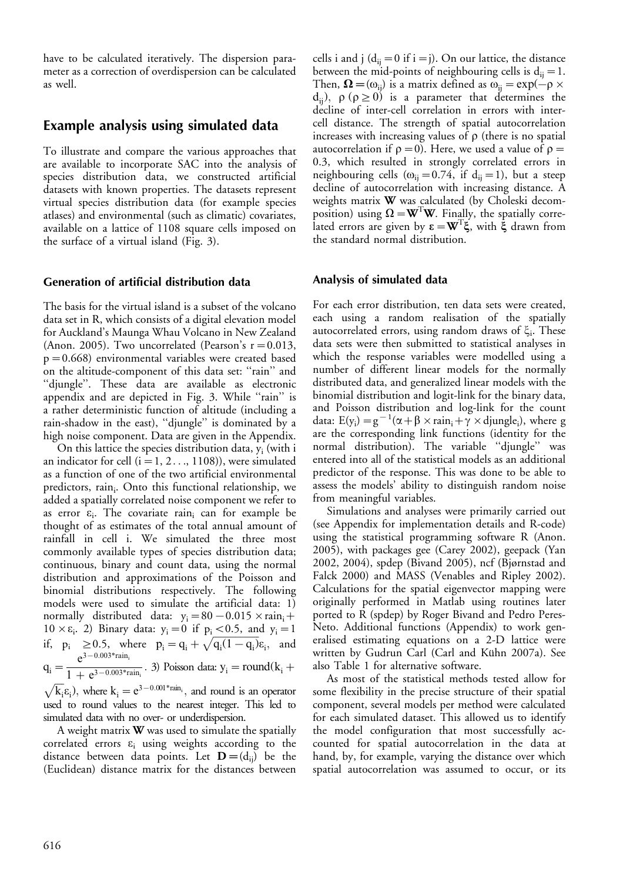have to be calculated iteratively. The dispersion parameter as a correction of overdispersion can be calculated as well.

# Example analysis using simulated data

To illustrate and compare the various approaches that are available to incorporate SAC into the analysis of species distribution data, we constructed artificial datasets with known properties. The datasets represent virtual species distribution data (for example species atlases) and environmental (such as climatic) covariates, available on a lattice of 1108 square cells imposed on the surface of a virtual island (Fig. 3).

### Generation of artificial distribution data

The basis for the virtual island is a subset of the volcano data set in R, which consists of a digital elevation model for Auckland's Maunga Whau Volcano in New Zealand (Anon. 2005). Two uncorrelated (Pearson's  $r = 0.013$ , p-0.668) environmental variables were created based on the altitude-component of this data set: ''rain'' and ''djungle''. These data are available as electronic appendix and are depicted in Fig. 3. While "rain" is a rather deterministic function of altitude (including a rain-shadow in the east), ''djungle'' is dominated by a high noise component. Data are given in the Appendix.

On this lattice the species distribution data,  $y_i$  (with i an indicator for cell  $(i = 1, 2..., 1108)$ ), were simulated as a function of one of the two artificial environmental predictors, rain<sub>i</sub>. Onto this functional relationship, we added a spatially correlated noise component we refer to as error  $\varepsilon_i$ . The covariate rain<sub>i</sub> can for example be thought of as estimates of the total annual amount of rainfall in cell i. We simulated the three most commonly available types of species distribution data; continuous, binary and count data, using the normal distribution and approximations of the Poisson and binomial distributions respectively. The following models were used to simulate the artificial data: 1) normally distributed data:  $y_i = 80 - 0.015 \times \text{rain}_i +$  $10 \times \varepsilon_i$ . 2) Binary data:  $y_i = 0$  if  $p_i < 0.5$ , and  $y_i = 1$ if,  $p_i \ge 0.5$ , where  $p_i = q_i + \sqrt{q_i(1-q_i)}\epsilon_i$ , and  $q_i = \frac{e^{3-0.003*_{rain_i}}}{1+e^{3-0.003*_{r_i}}}$  $\frac{1}{1 + e^{3 - 0.003 * \text{rain}_i}}$ . 3) Poisson data:  $y_i = \text{round}(k_i +$  $\sqrt{k_i}\epsilon_i$ ), where  $k_i = e^{3-0.001* \text{rain}_i}$ , and round is an operator used to round values to the nearest integer. This led to

simulated data with no over- or underdispersion. A weight matrix  $\mathbf W$  was used to simulate the spatially

correlated errors  $\varepsilon$ <sub>i</sub> using weights according to the distance between data points. Let  $\mathbf{D} = (d_{ij})$  be the (Euclidean) distance matrix for the distances between

cells i and j ( $d_{ij} = 0$  if i = j). On our lattice, the distance between the mid-points of neighbouring cells is  $d_{ij} = 1$ . Then,  $\mathbf{\Omega} = (\omega_{ij})$  is a matrix defined as  $\omega_{ij} = \exp(-\rho \times \mathbf{\Omega})$  $d_{ii}$ ),  $\rho$  ( $\rho \ge 0$ ) is a parameter that determines the decline of inter-cell correlation in errors with intercell distance. The strength of spatial autocorrelation increases with increasing values of  $\rho$  (there is no spatial autocorrelation if  $\rho = 0$ ). Here, we used a value of  $\rho =$ 0.3, which resulted in strongly correlated errors in neighbouring cells ( $\omega_{ij} = 0.74$ , if  $d_{ij} = 1$ ), but a steep decline of autocorrelation with increasing distance. A weights matrix W was calculated (by Choleski decomposition) using  $\Omega = \mathbf{W}^T \mathbf{W}$ . Finally, the spatially correlated errors are given by  $\epsilon = \mathbf{W}^{\mathrm{T}} \xi$ , with  $\xi$  drawn from the standard normal distribution.

### Analysis of simulated data

For each error distribution, ten data sets were created, each using a random realisation of the spatially autocorrelated errors, using random draws of  $\xi_i$ . These data sets were then submitted to statistical analyses in which the response variables were modelled using a number of different linear models for the normally distributed data, and generalized linear models with the binomial distribution and logit-link for the binary data, and Poisson distribution and log-link for the count data:  $E(y_i) = g^{-1}(\alpha + \beta \times rain_i + \gamma \times djungle_i)$ , where g are the corresponding link functions (identity for the normal distribution). The variable ''djungle'' was entered into all of the statistical models as an additional predictor of the response. This was done to be able to assess the models' ability to distinguish random noise from meaningful variables.

Simulations and analyses were primarily carried out (see Appendix for implementation details and R-code) using the statistical programming software R (Anon. 2005), with packages gee (Carey 2002), geepack (Yan 2002, 2004), spdep (Bivand 2005), ncf (Bjørnstad and Falck 2000) and MASS (Venables and Ripley 2002). Calculations for the spatial eigenvector mapping were originally performed in Matlab using routines later ported to R (spdep) by Roger Bivand and Pedro Peres-Neto. Additional functions (Appendix) to work generalised estimating equations on a 2-D lattice were written by Gudrun Carl (Carl and Kühn 2007a). See also Table 1 for alternative software.

As most of the statistical methods tested allow for some flexibility in the precise structure of their spatial component, several models per method were calculated for each simulated dataset. This allowed us to identify the model configuration that most successfully accounted for spatial autocorrelation in the data at hand, by, for example, varying the distance over which spatial autocorrelation was assumed to occur, or its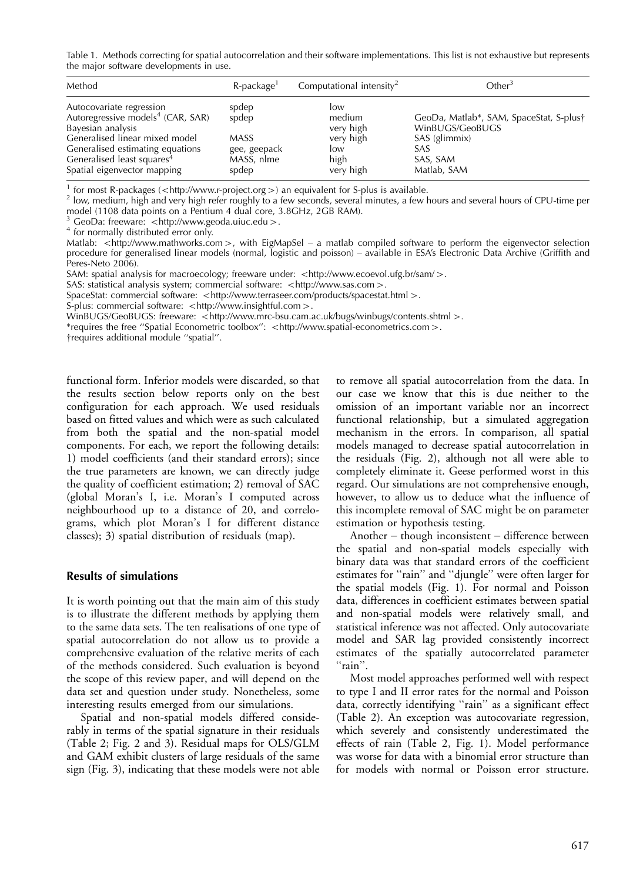Table 1. Methods correcting for spatial autocorrelation and their software implementations. This list is not exhaustive but represents the major software developments in use.

| Method                                                                                                                                                                                                                                        | $R$ -package <sup>1</sup>                                            | Computational intensity <sup>2</sup>                                | Cther <sup>3</sup>                                                                                            |
|-----------------------------------------------------------------------------------------------------------------------------------------------------------------------------------------------------------------------------------------------|----------------------------------------------------------------------|---------------------------------------------------------------------|---------------------------------------------------------------------------------------------------------------|
| Autocovariate regression<br>Autoregressive models <sup>4</sup> (CAR, SAR)<br>Bayesian analysis<br>Generalised linear mixed model<br>Generalised estimating equations<br>Generalised least squares <sup>4</sup><br>Spatial eigenvector mapping | spdep<br>spdep<br><b>MASS</b><br>gee, geepack<br>MASS, nlme<br>spdep | low<br>medium<br>very high<br>very high<br>low<br>high<br>very high | GeoDa, Matlab*, SAM, SpaceStat, S-plus†<br>WinBUGS/GeoBUGS<br>SAS (glimmix)<br>SAS<br>SAS, SAM<br>Matlab, SAM |

<sup>1</sup> for most R-packages (<http://www.r-project.org >) an equivalent for S-plus is available.

 $^2$  low, medium, high and very high refer roughly to a few seconds, several minutes, a few hours and several hours of CPU-time per model (1108 data points on a Pentium 4 dual core, 3.8GHz, 2GB RAM).

<sup>3</sup> GeoDa: freeware:  $\lt$ http://www.geoda.uiuc.edu  $\gt$ .<br><sup>4</sup> for normally distributed error only.

Matlab: <http://www.mathworks.com>, with EigMapSel – a matlab compiled software to perform the eigenvector selection procedure for generalised linear models (normal, logistic and poisson) - available in ESA's Electronic Data Archive (Griffith and Peres-Neto 2006).

SAM: spatial analysis for macroecology; freeware under: <http://www.ecoevol.ufg.br/sam/>.

SAS: statistical analysis system; commercial software: <http://www.sas.com>.

SpaceStat: commercial software: <http://www.terraseer.com/products/spacestat.html >.

S-plus: commercial software: <http://www.insightful.com>.

.< WinBUGS/GeoBUGS: freeware: <http://www.mrc-bsu.cam.ac.uk/bugs/winbugs/contents.shtml

\*requires the free "Spatial Econometric toolbox": <http://www.spatial-econometrics.com>.

\$requires additional module ''spatial''.

functional form. Inferior models were discarded, so that the results section below reports only on the best configuration for each approach. We used residuals based on fitted values and which were as such calculated from both the spatial and the non-spatial model components. For each, we report the following details: 1) model coefficients (and their standard errors); since the true parameters are known, we can directly judge the quality of coefficient estimation; 2) removal of SAC (global Moran's I, i.e. Moran's I computed across neighbourhood up to a distance of 20, and correlograms, which plot Moran's I for different distance classes); 3) spatial distribution of residuals (map).

#### Results of simulations

It is worth pointing out that the main aim of this study is to illustrate the different methods by applying them to the same data sets. The ten realisations of one type of spatial autocorrelation do not allow us to provide a comprehensive evaluation of the relative merits of each of the methods considered. Such evaluation is beyond the scope of this review paper, and will depend on the data set and question under study. Nonetheless, some interesting results emerged from our simulations.

Spatial and non-spatial models differed considerably in terms of the spatial signature in their residuals (Table 2; Fig. 2 and 3). Residual maps for OLS/GLM and GAM exhibit clusters of large residuals of the same sign (Fig. 3), indicating that these models were not able

to remove all spatial autocorrelation from the data. In our case we know that this is due neither to the omission of an important variable nor an incorrect functional relationship, but a simulated aggregation mechanism in the errors. In comparison, all spatial models managed to decrease spatial autocorrelation in the residuals (Fig. 2), although not all were able to completely eliminate it. Geese performed worst in this regard. Our simulations are not comprehensive enough, however, to allow us to deduce what the influence of this incomplete removal of SAC might be on parameter estimation or hypothesis testing.

Another  $-$  though inconsistent  $-$  difference between the spatial and non-spatial models especially with binary data was that standard errors of the coefficient estimates for "rain" and "djungle" were often larger for the spatial models (Fig. 1). For normal and Poisson data, differences in coefficient estimates between spatial and non-spatial models were relatively small, and statistical inference was not affected. Only autocovariate model and SAR lag provided consistently incorrect estimates of the spatially autocorrelated parameter ''rain''.

Most model approaches performed well with respect to type I and II error rates for the normal and Poisson data, correctly identifying ''rain'' as a significant effect (Table 2). An exception was autocovariate regression, which severely and consistently underestimated the effects of rain (Table 2, Fig. 1). Model performance was worse for data with a binomial error structure than for models with normal or Poisson error structure.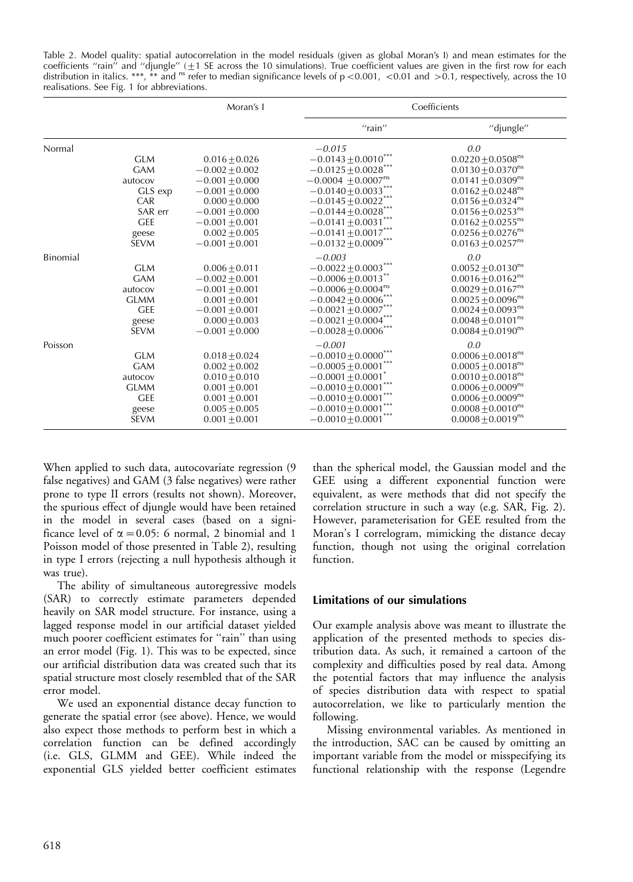Table 2. Model quality: spatial autocorrelation in the model residuals (given as global Moran's I) and mean estimates for the coefficients "rain" and "djungle" (±1 SE across the 10 simulations). True coefficient values are given in the first row for each<br>distribution in italics. \*\*\*, \*\* and <sup>ns</sup> refer to median significance levels of p <0.001, <0 realisations. See Fig. 1 for abbreviations.

|          |             | Moran's I        | Coefficients                      |                                   |  |
|----------|-------------|------------------|-----------------------------------|-----------------------------------|--|
|          |             |                  | $''$ rain $''$                    | "djungle"                         |  |
| Normal   |             |                  | $-0.015$                          | 0.0                               |  |
|          | <b>GLM</b>  | $0.016 + 0.026$  | $-0.0143 \pm 0.0010$ ***          | $0.0220 \pm 0.0508$ <sup>ns</sup> |  |
|          | <b>GAM</b>  | $-0.002 + 0.002$ | $-0.0125\pm\! 0.0028$ $^{***}$    | $0.0130 \pm 0.0370$ <sup>ns</sup> |  |
|          | autocov     | $-0.001 + 0.000$ | $-0.0004 \pm 0.0007^{ns}$         | $0.0141 \pm 0.0309$ <sup>ns</sup> |  |
|          | GLS exp     | $-0.001 + 0.000$ | $-0.0140\!\pm\!0.0033^{***}$      | $0.0162 \pm 0.0248$ <sup>ns</sup> |  |
|          | CAR         | $0.000 + 0.000$  | $-0.0145 \pm 0.0022$ ***          | $0.0156 \pm 0.0324$ <sup>ns</sup> |  |
|          | SAR err     | $-0.001 + 0.000$ | $-0.0144\!\pm\!0.0028^{***}$      | $0.0156 \pm 0.0253$ <sup>ns</sup> |  |
|          | <b>GEE</b>  | $-0.001 + 0.001$ | $-0.0141 \pm 0.0031$              | $0.0162 \pm 0.0255$ <sup>ns</sup> |  |
|          | geese       | $0.002 + 0.005$  | $-0.0141\pm0.0017^{***}$          | $0.0256 \pm 0.0276$ <sup>ns</sup> |  |
|          | <b>SEVM</b> | $-0.001 + 0.001$ | $-0.0132\pm0.0009^{***}$          | $0.0163 \pm 0.0257$ <sup>ns</sup> |  |
| Binomial |             |                  | $-0.003$                          | 0.0                               |  |
|          | <b>GLM</b>  | $0.006 + 0.011$  | $-0.0022 \pm 0.0003$ ***          | $0.0052 \pm 0.0130$ <sup>ns</sup> |  |
|          | <b>GAM</b>  | $-0.002 + 0.001$ | $-0.0006 \pm 0.0013$ **           | $0.0016 \pm 0.0162$ <sup>ns</sup> |  |
|          | autocov     | $-0.001 + 0.001$ | $-0.0006 \pm 0.0004^{\text{ns}}$  | $0.0029 + 0.0167$ <sup>ns</sup>   |  |
|          | <b>GLMM</b> | $0.001 + 0.001$  | $-0.0042\pm\!0.0006^{***}$        | $0.0025 \pm 0.0096$ <sup>ns</sup> |  |
|          | <b>GEE</b>  | $-0.001 + 0.001$ | $-0.0021\pm0.0007^{***}$          | $0.0024 \pm 0.0093$ <sup>ns</sup> |  |
|          | geese       | $0.000 + 0.003$  | $-0.0021\pm0.0004^{***}$          | $0.0048 \pm 0.0101$ <sup>ns</sup> |  |
|          | <b>SEVM</b> | $-0.001 + 0.000$ | $-0.0028\!\pm\!0.0006^{***}$      | $0.0084 \pm 0.0190$ <sup>ns</sup> |  |
| Poisson  |             |                  | $-0.001$                          | 0.0                               |  |
|          | <b>GLM</b>  | $0.018 + 0.024$  | $-0.0010 \pm 0.0000$ <sup>*</sup> | $0.0006 + 0.0018$ <sup>ns</sup>   |  |
|          | <b>GAM</b>  | $0.002 + 0.002$  | $-0.0005\pm\!0.0001^{***}$        | $0.0005 \pm 0.0018$ <sup>ns</sup> |  |
|          | autocov     | $0.010 + 0.010$  | $-0.0001 \pm 0.0001$ <sup>*</sup> | $0.0010 + 0.0018$ <sup>ns</sup>   |  |
|          | <b>GLMM</b> | $0.001 + 0.001$  | $-0.0010\!\pm\!0.0001^{***}$      | $0.0006 \pm 0.0009$ <sup>ns</sup> |  |
|          | <b>GEE</b>  | $0.001 + 0.001$  | $-0.0010\!\pm\!0.0001^{***}$      | $0.0006 + 0.0009^{ns}$            |  |
|          | geese       | $0.005 + 0.005$  | $-0.0010\!\pm\!0.0001^{***}$      | $0.0008 + 0.0010^{ns}$            |  |
|          | <b>SEVM</b> | $0.001 + 0.001$  | $-0.0010\!\pm\!0.0001^{***}$      | $0.0008 \pm 0.0019$ <sup>ns</sup> |  |

When applied to such data, autocovariate regression (9 false negatives) and GAM (3 false negatives) were rather prone to type II errors (results not shown). Moreover, the spurious effect of djungle would have been retained in the model in several cases (based on a significance level of  $\alpha = 0.05$ : 6 normal, 2 binomial and 1 Poisson model of those presented in Table 2), resulting in type I errors (rejecting a null hypothesis although it was true).

The ability of simultaneous autoregressive models (SAR) to correctly estimate parameters depended heavily on SAR model structure. For instance, using a lagged response model in our artificial dataset yielded much poorer coefficient estimates for "rain" than using an error model (Fig. 1). This was to be expected, since our artificial distribution data was created such that its spatial structure most closely resembled that of the SAR error model.

We used an exponential distance decay function to generate the spatial error (see above). Hence, we would also expect those methods to perform best in which a correlation function can be defined accordingly (i.e. GLS, GLMM and GEE). While indeed the exponential GLS yielded better coefficient estimates than the spherical model, the Gaussian model and the GEE using a different exponential function were equivalent, as were methods that did not specify the correlation structure in such a way (e.g. SAR, Fig. 2). However, parameterisation for GEE resulted from the Moran's I correlogram, mimicking the distance decay function, though not using the original correlation function.

### Limitations of our simulations

Our example analysis above was meant to illustrate the application of the presented methods to species distribution data. As such, it remained a cartoon of the complexity and difficulties posed by real data. Among the potential factors that may influence the analysis of species distribution data with respect to spatial autocorrelation, we like to particularly mention the following.

Missing environmental variables. As mentioned in the introduction, SAC can be caused by omitting an important variable from the model or misspecifying its functional relationship with the response (Legendre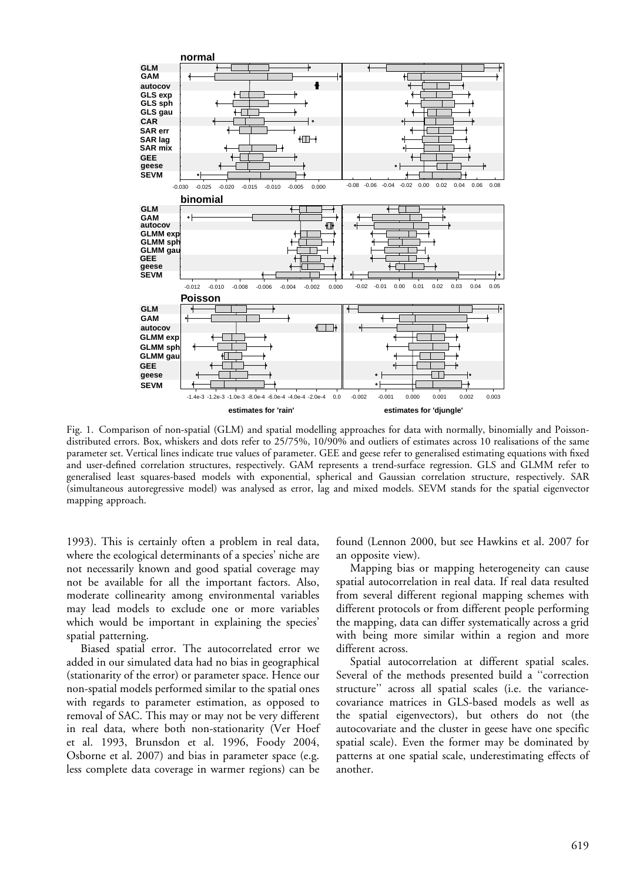

Fig. 1. Comparison of non-spatial (GLM) and spatial modelling approaches for data with normally, binomially and Poissondistributed errors. Box, whiskers and dots refer to 25/75%, 10/90% and outliers of estimates across 10 realisations of the same parameter set. Vertical lines indicate true values of parameter. GEE and geese refer to generalised estimating equations with fixed and user-defined correlation structures, respectively. GAM represents a trend-surface regression. GLS and GLMM refer to generalised least squares-based models with exponential, spherical and Gaussian correlation structure, respectively. SAR (simultaneous autoregressive model) was analysed as error, lag and mixed models. SEVM stands for the spatial eigenvector mapping approach.

1993). This is certainly often a problem in real data, where the ecological determinants of a species' niche are not necessarily known and good spatial coverage may not be available for all the important factors. Also, moderate collinearity among environmental variables may lead models to exclude one or more variables which would be important in explaining the species' spatial patterning.

Biased spatial error. The autocorrelated error we added in our simulated data had no bias in geographical (stationarity of the error) or parameter space. Hence our non-spatial models performed similar to the spatial ones with regards to parameter estimation, as opposed to removal of SAC. This may or may not be very different in real data, where both non-stationarity (Ver Hoef et al. 1993, Brunsdon et al. 1996, Foody 2004, Osborne et al. 2007) and bias in parameter space (e.g. less complete data coverage in warmer regions) can be found (Lennon 2000, but see Hawkins et al. 2007 for an opposite view).

Mapping bias or mapping heterogeneity can cause spatial autocorrelation in real data. If real data resulted from several different regional mapping schemes with different protocols or from different people performing the mapping, data can differ systematically across a grid with being more similar within a region and more different across.

Spatial autocorrelation at different spatial scales. Several of the methods presented build a ''correction structure'' across all spatial scales (i.e. the variancecovariance matrices in GLS-based models as well as the spatial eigenvectors), but others do not (the autocovariate and the cluster in geese have one specific spatial scale). Even the former may be dominated by patterns at one spatial scale, underestimating effects of another.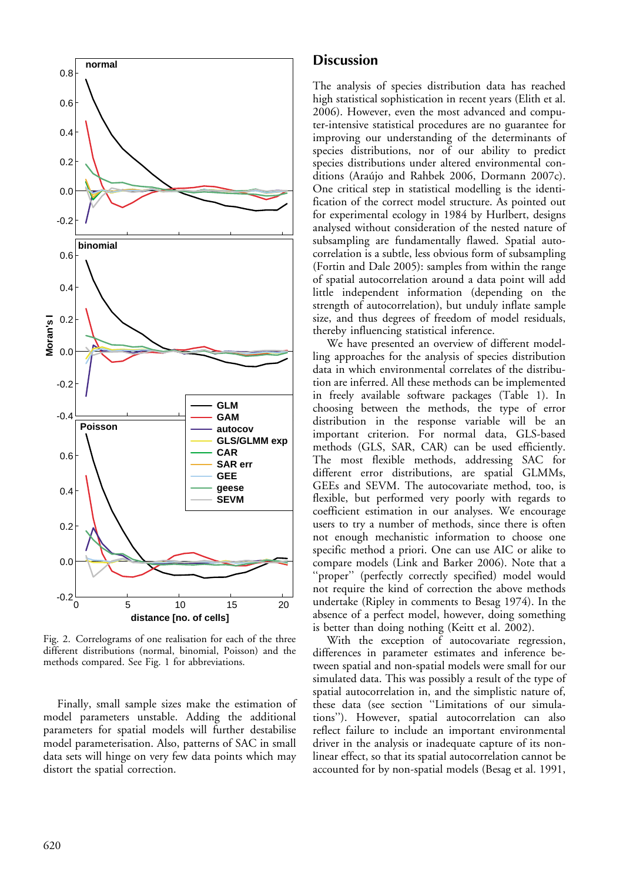

Fig. 2. Correlograms of one realisation for each of the three different distributions (normal, binomial, Poisson) and the methods compared. See Fig. 1 for abbreviations.

Finally, small sample sizes make the estimation of model parameters unstable. Adding the additional parameters for spatial models will further destabilise model parameterisation. Also, patterns of SAC in small data sets will hinge on very few data points which may distort the spatial correction.

# Discussion

The analysis of species distribution data has reached high statistical sophistication in recent years (Elith et al. 2006). However, even the most advanced and computer-intensive statistical procedures are no guarantee for improving our understanding of the determinants of species distributions, nor of our ability to predict species distributions under altered environmental conditions (Araújo and Rahbek 2006, Dormann 2007c). One critical step in statistical modelling is the identification of the correct model structure. As pointed out for experimental ecology in 1984 by Hurlbert, designs analysed without consideration of the nested nature of subsampling are fundamentally flawed. Spatial autocorrelation is a subtle, less obvious form of subsampling (Fortin and Dale 2005): samples from within the range of spatial autocorrelation around a data point will add little independent information (depending on the strength of autocorrelation), but unduly inflate sample size, and thus degrees of freedom of model residuals, thereby influencing statistical inference.

We have presented an overview of different modelling approaches for the analysis of species distribution data in which environmental correlates of the distribution are inferred. All these methods can be implemented in freely available software packages (Table 1). In choosing between the methods, the type of error distribution in the response variable will be an important criterion. For normal data, GLS-based methods (GLS, SAR, CAR) can be used efficiently. The most flexible methods, addressing SAC for different error distributions, are spatial GLMMs, GEEs and SEVM. The autocovariate method, too, is flexible, but performed very poorly with regards to coefficient estimation in our analyses. We encourage users to try a number of methods, since there is often not enough mechanistic information to choose one specific method a priori. One can use AIC or alike to compare models (Link and Barker 2006). Note that a "proper" (perfectly correctly specified) model would not require the kind of correction the above methods undertake (Ripley in comments to Besag 1974). In the absence of a perfect model, however, doing something is better than doing nothing (Keitt et al. 2002).

With the exception of autocovariate regression, differences in parameter estimates and inference between spatial and non-spatial models were small for our simulated data. This was possibly a result of the type of spatial autocorrelation in, and the simplistic nature of, these data (see section ''Limitations of our simulations''). However, spatial autocorrelation can also reflect failure to include an important environmental driver in the analysis or inadequate capture of its nonlinear effect, so that its spatial autocorrelation cannot be accounted for by non-spatial models (Besag et al. 1991,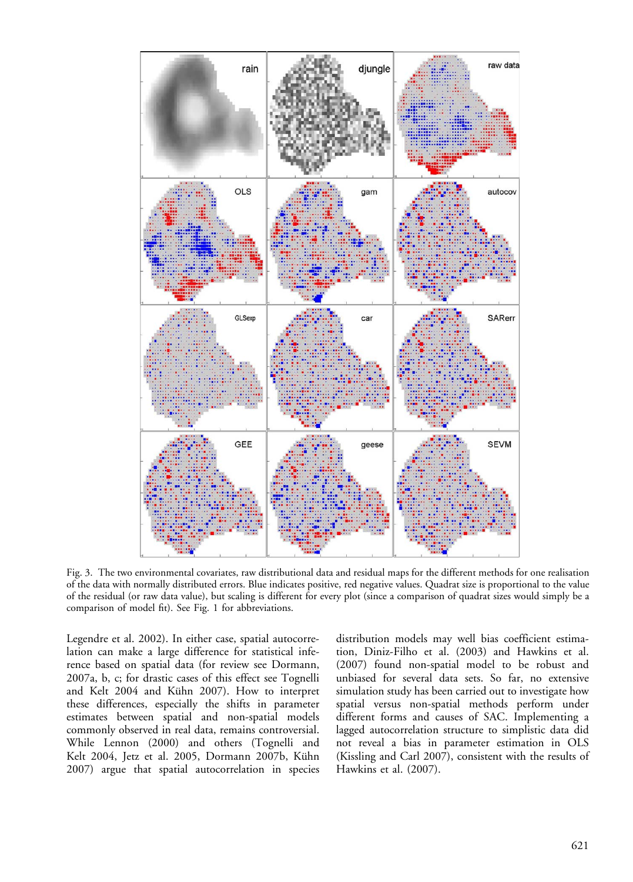

Fig. 3. The two environmental covariates, raw distributional data and residual maps for the different methods for one realisation of the data with normally distributed errors. Blue indicates positive, red negative values. Quadrat size is proportional to the value of the residual (or raw data value), but scaling is different for every plot (since a comparison of quadrat sizes would simply be a comparison of model fit). See Fig. 1 for abbreviations.

Legendre et al. 2002). In either case, spatial autocorrelation can make a large difference for statistical inference based on spatial data (for review see Dormann, 2007a, b, c; for drastic cases of this effect see Tognelli and Kelt 2004 and Kühn 2007). How to interpret these differences, especially the shifts in parameter estimates between spatial and non-spatial models commonly observed in real data, remains controversial. While Lennon (2000) and others (Tognelli and Kelt 2004, Jetz et al. 2005, Dormann 2007b, Kühn 2007) argue that spatial autocorrelation in species distribution models may well bias coefficient estimation, Diniz-Filho et al. (2003) and Hawkins et al. (2007) found non-spatial model to be robust and unbiased for several data sets. So far, no extensive simulation study has been carried out to investigate how spatial versus non-spatial methods perform under different forms and causes of SAC. Implementing a lagged autocorrelation structure to simplistic data did not reveal a bias in parameter estimation in OLS (Kissling and Carl 2007), consistent with the results of Hawkins et al. (2007).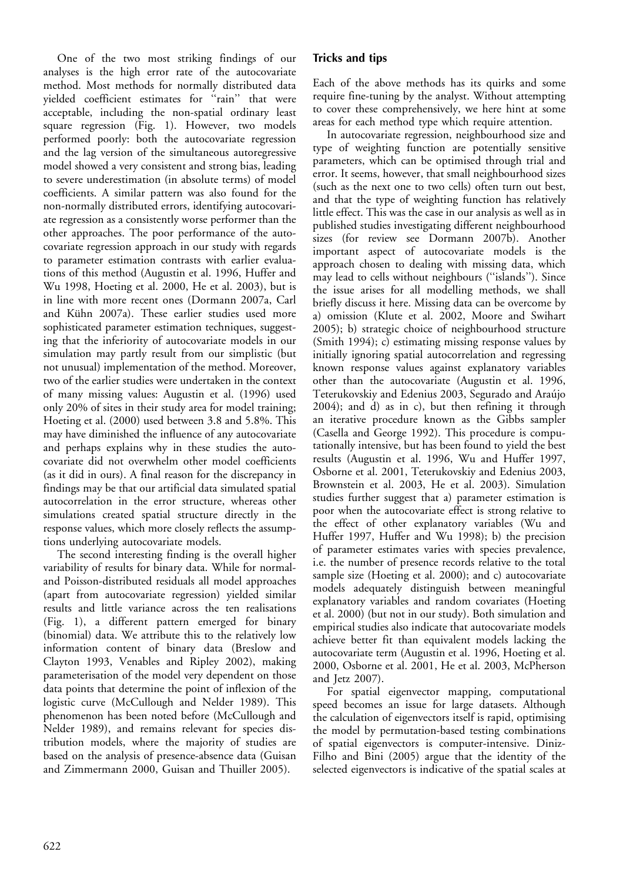One of the two most striking findings of our analyses is the high error rate of the autocovariate method. Most methods for normally distributed data yielded coefficient estimates for ''rain'' that were acceptable, including the non-spatial ordinary least square regression (Fig. 1). However, two models performed poorly: both the autocovariate regression and the lag version of the simultaneous autoregressive model showed a very consistent and strong bias, leading to severe underestimation (in absolute terms) of model coefficients. A similar pattern was also found for the non-normally distributed errors, identifying autocovariate regression as a consistently worse performer than the other approaches. The poor performance of the autocovariate regression approach in our study with regards to parameter estimation contrasts with earlier evaluations of this method (Augustin et al. 1996, Huffer and Wu 1998, Hoeting et al. 2000, He et al. 2003), but is in line with more recent ones (Dormann 2007a, Carl and Kühn 2007a). These earlier studies used more sophisticated parameter estimation techniques, suggesting that the inferiority of autocovariate models in our simulation may partly result from our simplistic (but not unusual) implementation of the method. Moreover, two of the earlier studies were undertaken in the context of many missing values: Augustin et al. (1996) used only 20% of sites in their study area for model training; Hoeting et al. (2000) used between 3.8 and 5.8%. This may have diminished the influence of any autocovariate and perhaps explains why in these studies the autocovariate did not overwhelm other model coefficients (as it did in ours). A final reason for the discrepancy in findings may be that our artificial data simulated spatial autocorrelation in the error structure, whereas other simulations created spatial structure directly in the response values, which more closely reflects the assumptions underlying autocovariate models.

The second interesting finding is the overall higher variability of results for binary data. While for normaland Poisson-distributed residuals all model approaches (apart from autocovariate regression) yielded similar results and little variance across the ten realisations (Fig. 1), a different pattern emerged for binary (binomial) data. We attribute this to the relatively low information content of binary data (Breslow and Clayton 1993, Venables and Ripley 2002), making parameterisation of the model very dependent on those data points that determine the point of inflexion of the logistic curve (McCullough and Nelder 1989). This phenomenon has been noted before (McCullough and Nelder 1989), and remains relevant for species distribution models, where the majority of studies are based on the analysis of presence-absence data (Guisan and Zimmermann 2000, Guisan and Thuiller 2005).

### Tricks and tips

Each of the above methods has its quirks and some require fine-tuning by the analyst. Without attempting to cover these comprehensively, we here hint at some areas for each method type which require attention.

In autocovariate regression, neighbourhood size and type of weighting function are potentially sensitive parameters, which can be optimised through trial and error. It seems, however, that small neighbourhood sizes (such as the next one to two cells) often turn out best, and that the type of weighting function has relatively little effect. This was the case in our analysis as well as in published studies investigating different neighbourhood sizes (for review see Dormann 2007b). Another important aspect of autocovariate models is the approach chosen to dealing with missing data, which may lead to cells without neighbours (''islands''). Since the issue arises for all modelling methods, we shall briefly discuss it here. Missing data can be overcome by a) omission (Klute et al. 2002, Moore and Swihart 2005); b) strategic choice of neighbourhood structure (Smith 1994); c) estimating missing response values by initially ignoring spatial autocorrelation and regressing known response values against explanatory variables other than the autocovariate (Augustin et al. 1996, Teterukovskiy and Edenius 2003, Segurado and Araújo 2004); and d) as in c), but then refining it through an iterative procedure known as the Gibbs sampler (Casella and George 1992). This procedure is computationally intensive, but has been found to yield the best results (Augustin et al. 1996, Wu and Huffer 1997, Osborne et al. 2001, Teterukovskiy and Edenius 2003, Brownstein et al. 2003, He et al. 2003). Simulation studies further suggest that a) parameter estimation is poor when the autocovariate effect is strong relative to the effect of other explanatory variables (Wu and Huffer 1997, Huffer and Wu 1998); b) the precision of parameter estimates varies with species prevalence, i.e. the number of presence records relative to the total sample size (Hoeting et al. 2000); and c) autocovariate models adequately distinguish between meaningful explanatory variables and random covariates (Hoeting et al. 2000) (but not in our study). Both simulation and empirical studies also indicate that autocovariate models achieve better fit than equivalent models lacking the autocovariate term (Augustin et al. 1996, Hoeting et al. 2000, Osborne et al. 2001, He et al. 2003, McPherson and Jetz 2007).

For spatial eigenvector mapping, computational speed becomes an issue for large datasets. Although the calculation of eigenvectors itself is rapid, optimising the model by permutation-based testing combinations of spatial eigenvectors is computer-intensive. Diniz-Filho and Bini (2005) argue that the identity of the selected eigenvectors is indicative of the spatial scales at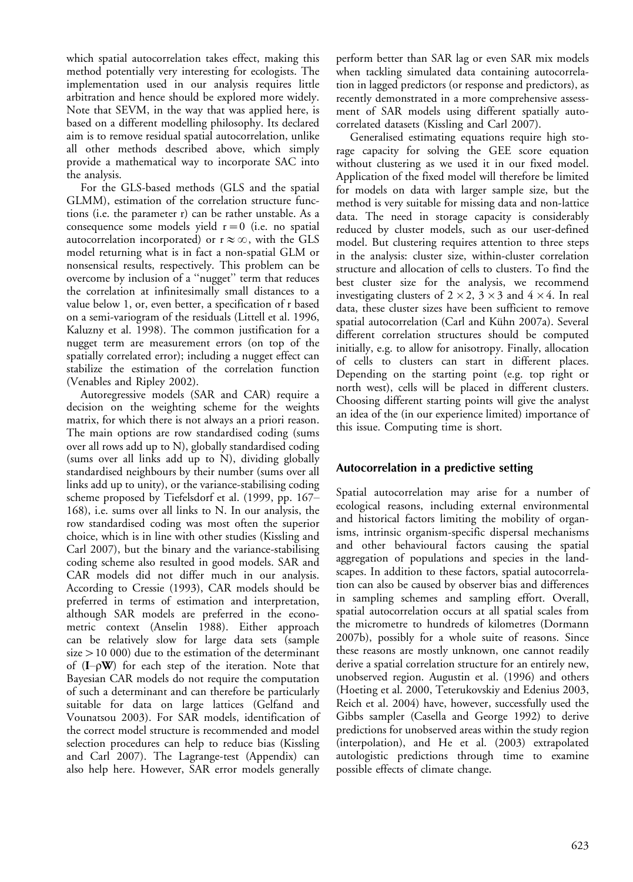which spatial autocorrelation takes effect, making this method potentially very interesting for ecologists. The implementation used in our analysis requires little arbitration and hence should be explored more widely. Note that SEVM, in the way that was applied here, is based on a different modelling philosophy. Its declared aim is to remove residual spatial autocorrelation, unlike all other methods described above, which simply provide a mathematical way to incorporate SAC into the analysis.

For the GLS-based methods (GLS and the spatial GLMM), estimation of the correlation structure functions (i.e. the parameter r) can be rather unstable. As a consequence some models yield  $r = 0$  (i.e. no spatial autocorrelation incorporated) or  $r \approx \infty$ , with the GLS model returning what is in fact a non-spatial GLM or nonsensical results, respectively. This problem can be overcome by inclusion of a ''nugget'' term that reduces the correlation at infinitesimally small distances to a value below 1, or, even better, a specification of r based on a semi-variogram of the residuals (Littell et al. 1996, Kaluzny et al. 1998). The common justification for a nugget term are measurement errors (on top of the spatially correlated error); including a nugget effect can stabilize the estimation of the correlation function (Venables and Ripley 2002).

Autoregressive models (SAR and CAR) require a decision on the weighting scheme for the weights matrix, for which there is not always an a priori reason. The main options are row standardised coding (sums over all rows add up to N), globally standardised coding (sums over all links add up to N), dividing globally standardised neighbours by their number (sums over all links add up to unity), or the variance-stabilising coding scheme proposed by Tiefelsdorf et al. (1999, pp. 167 168), i.e. sums over all links to N. In our analysis, the row standardised coding was most often the superior choice, which is in line with other studies (Kissling and Carl 2007), but the binary and the variance-stabilising coding scheme also resulted in good models. SAR and CAR models did not differ much in our analysis. According to Cressie (1993), CAR models should be preferred in terms of estimation and interpretation, although SAR models are preferred in the econometric context (Anselin 1988). Either approach can be relatively slow for large data sets (sample size-10 000) due to the estimation of the determinant of  $(I - \rho W)$  for each step of the iteration. Note that Bayesian CAR models do not require the computation of such a determinant and can therefore be particularly suitable for data on large lattices (Gelfand and Vounatsou 2003). For SAR models, identification of the correct model structure is recommended and model selection procedures can help to reduce bias (Kissling and Carl 2007). The Lagrange-test (Appendix) can also help here. However, SAR error models generally

perform better than SAR lag or even SAR mix models when tackling simulated data containing autocorrelation in lagged predictors (or response and predictors), as recently demonstrated in a more comprehensive assessment of SAR models using different spatially autocorrelated datasets (Kissling and Carl 2007).

Generalised estimating equations require high storage capacity for solving the GEE score equation without clustering as we used it in our fixed model. Application of the fixed model will therefore be limited for models on data with larger sample size, but the method is very suitable for missing data and non-lattice data. The need in storage capacity is considerably reduced by cluster models, such as our user-defined model. But clustering requires attention to three steps in the analysis: cluster size, within-cluster correlation structure and allocation of cells to clusters. To find the best cluster size for the analysis, we recommend investigating clusters of  $2 \times 2$ ,  $3 \times 3$  and  $4 \times 4$ . In real data, these cluster sizes have been sufficient to remove spatial autocorrelation (Carl and Kühn 2007a). Several different correlation structures should be computed initially, e.g. to allow for anisotropy. Finally, allocation of cells to clusters can start in different places. Depending on the starting point (e.g. top right or north west), cells will be placed in different clusters. Choosing different starting points will give the analyst an idea of the (in our experience limited) importance of this issue. Computing time is short.

### Autocorrelation in a predictive setting

Spatial autocorrelation may arise for a number of ecological reasons, including external environmental and historical factors limiting the mobility of organisms, intrinsic organism-specific dispersal mechanisms and other behavioural factors causing the spatial aggregation of populations and species in the landscapes. In addition to these factors, spatial autocorrelation can also be caused by observer bias and differences in sampling schemes and sampling effort. Overall, spatial autocorrelation occurs at all spatial scales from the micrometre to hundreds of kilometres (Dormann 2007b), possibly for a whole suite of reasons. Since these reasons are mostly unknown, one cannot readily derive a spatial correlation structure for an entirely new, unobserved region. Augustin et al. (1996) and others (Hoeting et al. 2000, Teterukovskiy and Edenius 2003, Reich et al. 2004) have, however, successfully used the Gibbs sampler (Casella and George 1992) to derive predictions for unobserved areas within the study region (interpolation), and He et al. (2003) extrapolated autologistic predictions through time to examine possible effects of climate change.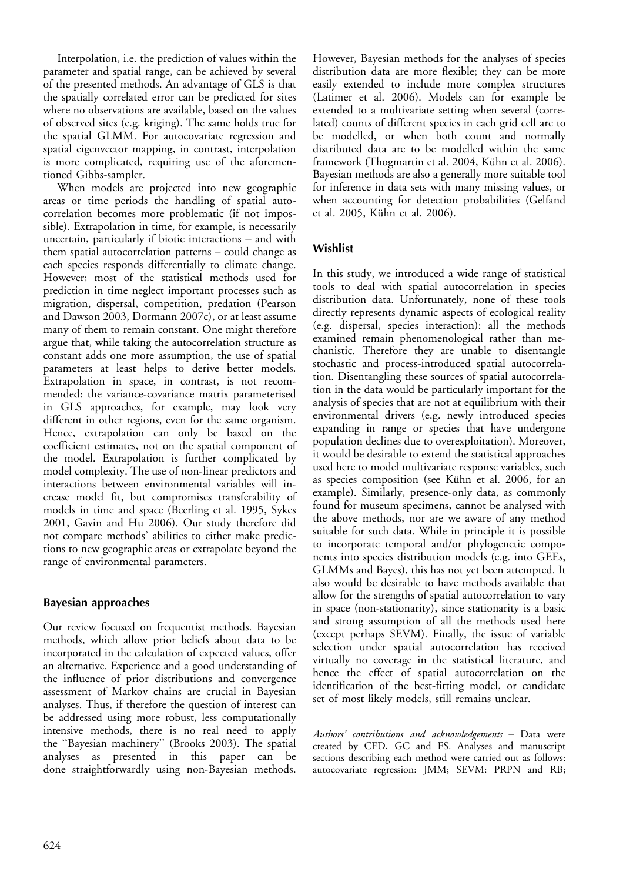Interpolation, i.e. the prediction of values within the parameter and spatial range, can be achieved by several of the presented methods. An advantage of GLS is that the spatially correlated error can be predicted for sites where no observations are available, based on the values of observed sites (e.g. kriging). The same holds true for the spatial GLMM. For autocovariate regression and spatial eigenvector mapping, in contrast, interpolation is more complicated, requiring use of the aforementioned Gibbs-sampler.

When models are projected into new geographic areas or time periods the handling of spatial autocorrelation becomes more problematic (if not impossible). Extrapolation in time, for example, is necessarily uncertain, particularly if biotic interactions  $-$  and with them spatial autocorrelation patterns  $-$  could change as each species responds differentially to climate change. However; most of the statistical methods used for prediction in time neglect important processes such as migration, dispersal, competition, predation (Pearson and Dawson 2003, Dormann 2007c), or at least assume many of them to remain constant. One might therefore argue that, while taking the autocorrelation structure as constant adds one more assumption, the use of spatial parameters at least helps to derive better models. Extrapolation in space, in contrast, is not recommended: the variance-covariance matrix parameterised in GLS approaches, for example, may look very different in other regions, even for the same organism. Hence, extrapolation can only be based on the coefficient estimates, not on the spatial component of the model. Extrapolation is further complicated by model complexity. The use of non-linear predictors and interactions between environmental variables will increase model fit, but compromises transferability of models in time and space (Beerling et al. 1995, Sykes 2001, Gavin and Hu 2006). Our study therefore did not compare methods' abilities to either make predictions to new geographic areas or extrapolate beyond the range of environmental parameters.

### Bayesian approaches

Our review focused on frequentist methods. Bayesian methods, which allow prior beliefs about data to be incorporated in the calculation of expected values, offer an alternative. Experience and a good understanding of the influence of prior distributions and convergence assessment of Markov chains are crucial in Bayesian analyses. Thus, if therefore the question of interest can be addressed using more robust, less computationally intensive methods, there is no real need to apply the ''Bayesian machinery'' (Brooks 2003). The spatial analyses as presented in this paper can be done straightforwardly using non-Bayesian methods.

However, Bayesian methods for the analyses of species distribution data are more flexible; they can be more easily extended to include more complex structures (Latimer et al. 2006). Models can for example be extended to a multivariate setting when several (correlated) counts of different species in each grid cell are to be modelled, or when both count and normally distributed data are to be modelled within the same framework (Thogmartin et al. 2004, Kühn et al. 2006). Bayesian methods are also a generally more suitable tool for inference in data sets with many missing values, or when accounting for detection probabilities (Gelfand et al. 2005, Kühn et al. 2006).

# Wishlist

In this study, we introduced a wide range of statistical tools to deal with spatial autocorrelation in species distribution data. Unfortunately, none of these tools directly represents dynamic aspects of ecological reality (e.g. dispersal, species interaction): all the methods examined remain phenomenological rather than mechanistic. Therefore they are unable to disentangle stochastic and process-introduced spatial autocorrelation. Disentangling these sources of spatial autocorrelation in the data would be particularly important for the analysis of species that are not at equilibrium with their environmental drivers (e.g. newly introduced species expanding in range or species that have undergone population declines due to overexploitation). Moreover, it would be desirable to extend the statistical approaches used here to model multivariate response variables, such as species composition (see Kühn et al. 2006, for an example). Similarly, presence-only data, as commonly found for museum specimens, cannot be analysed with the above methods, nor are we aware of any method suitable for such data. While in principle it is possible to incorporate temporal and/or phylogenetic components into species distribution models (e.g. into GEEs, GLMMs and Bayes), this has not yet been attempted. It also would be desirable to have methods available that allow for the strengths of spatial autocorrelation to vary in space (non-stationarity), since stationarity is a basic and strong assumption of all the methods used here (except perhaps SEVM). Finally, the issue of variable selection under spatial autocorrelation has received virtually no coverage in the statistical literature, and hence the effect of spatial autocorrelation on the identification of the best-fitting model, or candidate set of most likely models, still remains unclear.

Authors' contributions and acknowledgements - Data were created by CFD, GC and FS. Analyses and manuscript sections describing each method were carried out as follows: autocovariate regression: JMM; SEVM: PRPN and RB;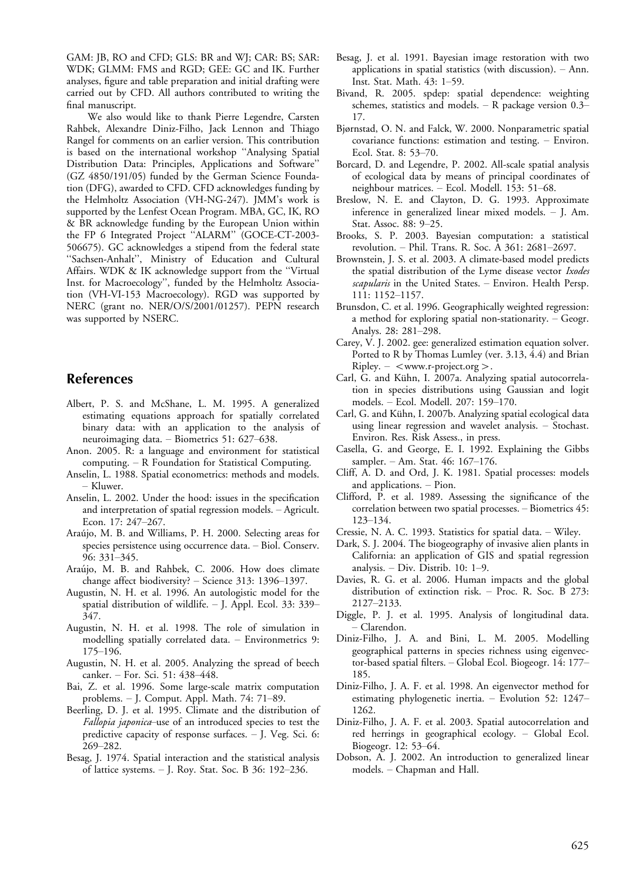GAM: JB, RO and CFD; GLS: BR and WJ; CAR: BS; SAR: WDK; GLMM: FMS and RGD; GEE: GC and IK. Further analyses, figure and table preparation and initial drafting were carried out by CFD. All authors contributed to writing the final manuscript.

We also would like to thank Pierre Legendre, Carsten Rahbek, Alexandre Diniz-Filho, Jack Lennon and Thiago Rangel for comments on an earlier version. This contribution is based on the international workshop ''Analysing Spatial Distribution Data: Principles, Applications and Software'' (GZ 4850/191/05) funded by the German Science Foundation (DFG), awarded to CFD. CFD acknowledges funding by the Helmholtz Association (VH-NG-247). JMM's work is supported by the Lenfest Ocean Program. MBA, GC, IK, RO & BR acknowledge funding by the European Union within the FP 6 Integrated Project ''ALARM'' (GOCE-CT-2003- 506675). GC acknowledges a stipend from the federal state ''Sachsen-Anhalt'', Ministry of Education and Cultural Affairs. WDK & IK acknowledge support from the ''Virtual Inst. for Macroecology'', funded by the Helmholtz Association (VH-VI-153 Macroecology). RGD was supported by NERC (grant no. NER/O/S/2001/01257). PEPN research was supported by NSERC.

# References

- Albert, P. S. and McShane, L. M. 1995. A generalized estimating equations approach for spatially correlated binary data: with an application to the analysis of neuroimaging data. - Biometrics 51: 627-638.
- Anon. 2005. R: a language and environment for statistical computing. R Foundation for Statistical Computing.
- Anselin, L. 1988. Spatial econometrics: methods and models. Kluwer.
- Anselin, L. 2002. Under the hood: issues in the specification and interpretation of spatial regression models. Agricult. Econ. 17: 247-267.
- Araújo, M. B. and Williams, P. H. 2000. Selecting areas for species persistence using occurrence data. - Biol. Conserv. 96: 331-345.
- Araújo, M. B. and Rahbek, C. 2006. How does climate change affect biodiversity?  $-$  Science 313: 1396–1397.
- Augustin, N. H. et al. 1996. An autologistic model for the spatial distribution of wildlife.  $-$  J. Appl. Ecol. 33: 339– 347.
- Augustin, N. H. et al. 1998. The role of simulation in modelling spatially correlated data. Environmetrics 9: 175-196.
- Augustin, N. H. et al. 2005. Analyzing the spread of beech canker. – For. Sci. 51: 438–448.
- Bai, Z. et al. 1996. Some large-scale matrix computation problems.  $-$  J. Comput. Appl. Math. 74: 71–89.
- Beerling, D. J. et al. 1995. Climate and the distribution of Fallopia japonica-use of an introduced species to test the predictive capacity of response surfaces. J. Veg. Sci. 6: 269-282.
- Besag, J. 1974. Spatial interaction and the statistical analysis of lattice systems.  $-$  J. Roy. Stat. Soc. B 36: 192–236.
- Besag, J. et al. 1991. Bayesian image restoration with two applications in spatial statistics (with discussion).  $-$  Ann. Inst. Stat. Math. 43: 1-59.
- Bivand, R. 2005. spdep: spatial dependence: weighting schemes, statistics and models.  $-$  R package version 0.3– 17.
- Bjørnstad, O. N. and Falck, W. 2000. Nonparametric spatial covariance functions: estimation and testing. Environ. Ecol. Stat. 8: 53-70.
- Borcard, D. and Legendre, P. 2002. All-scale spatial analysis of ecological data by means of principal coordinates of neighbour matrices. - Ecol. Modell. 153: 51-68.
- Breslow, N. E. and Clayton, D. G. 1993. Approximate inference in generalized linear mixed models. - J. Am. Stat. Assoc. 88: 9-25.
- Brooks, S. P. 2003. Bayesian computation: a statistical revolution. - Phil. Trans. R. Soc. A 361: 2681-2697.
- Brownstein, J. S. et al. 2003. A climate-based model predicts the spatial distribution of the Lyme disease vector Ixodes scapularis in the United States. - Environ. Health Persp. 111: 1152-1157.
- Brunsdon, C. et al. 1996. Geographically weighted regression: a method for exploring spatial non-stationarity. Geogr. Analys. 28: 281-298.
- Carey, V. J. 2002. gee: generalized estimation equation solver. Ported to R by Thomas Lumley (ver. 3.13, 4.4) and Brian  $Ripley. -$ .
- Carl, G. and Kühn, I. 2007a. Analyzing spatial autocorrelation in species distributions using Gaussian and logit models. - Ecol. Modell. 207: 159-170.
- Carl, G. and Kühn, I. 2007b. Analyzing spatial ecological data using linear regression and wavelet analysis.  $-$  Stochast. Environ. Res. Risk Assess., in press.
- Casella, G. and George, E. I. 1992. Explaining the Gibbs sampler. - Am. Stat. 46: 167-176.
- Cliff, A. D. and Ord, J. K. 1981. Spatial processes: models and applications. - Pion.
- Clifford, P. et al. 1989. Assessing the significance of the correlation between two spatial processes. - Biometrics 45: 123-134.
- Cressie, N. A. C. 1993. Statistics for spatial data. Wiley.
- Dark, S. J. 2004. The biogeography of invasive alien plants in California: an application of GIS and spatial regression analysis. - Div. Distrib. 10: 1-9.
- Davies, R. G. et al. 2006. Human impacts and the global distribution of extinction risk. - Proc. R. Soc. B 273: 2127-2133.
- Diggle, P. J. et al. 1995. Analysis of longitudinal data. Clarendon.
- Diniz-Filho, J. A. and Bini, L. M. 2005. Modelling geographical patterns in species richness using eigenvector-based spatial filters. Global Ecol. Biogeogr. 14: 177 185.
- Diniz-Filho, J. A. F. et al. 1998. An eigenvector method for estimating phylogenetic inertia. - Evolution 52: 1247-1262.
- Diniz-Filho, J. A. F. et al. 2003. Spatial autocorrelation and red herrings in geographical ecology. - Global Ecol. Biogeogr. 12: 53–64.
- Dobson, A. J. 2002. An introduction to generalized linear models. Chapman and Hall.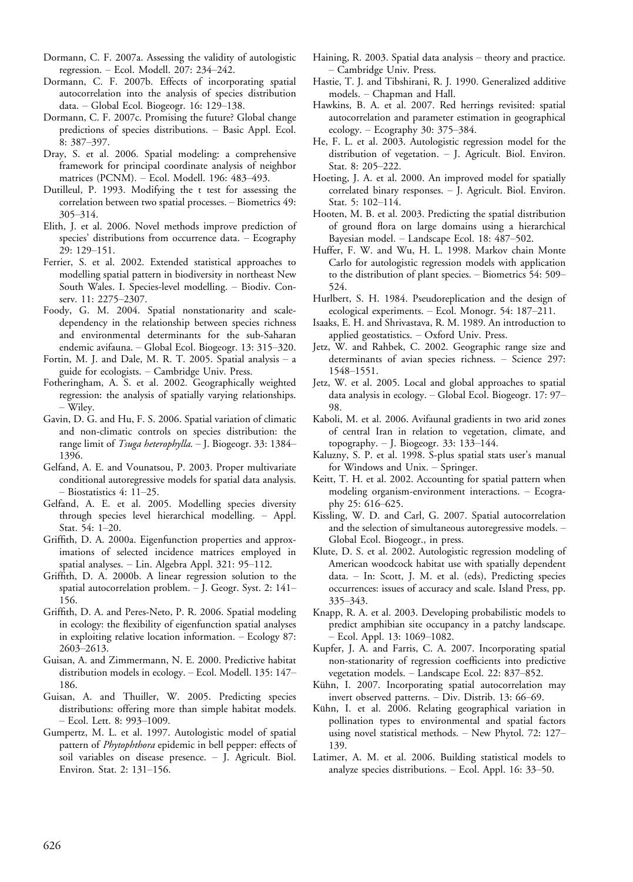- Dormann, C. F. 2007a. Assessing the validity of autologistic regression. - Ecol. Modell. 207: 234-242.
- Dormann, C. F. 2007b. Effects of incorporating spatial autocorrelation into the analysis of species distribution data.  $-$  Global Ecol. Biogeogr. 16: 129-138.
- Dormann, C. F. 2007c. Promising the future? Global change predictions of species distributions. - Basic Appl. Ecol. 8: 387-397.
- Dray, S. et al. 2006. Spatial modeling: a comprehensive framework for principal coordinate analysis of neighbor matrices (PCNM). - Ecol. Modell. 196: 483-493.
- Dutilleul, P. 1993. Modifying the t test for assessing the correlation between two spatial processes. - Biometrics 49: 305-314.
- Elith, J. et al. 2006. Novel methods improve prediction of species' distributions from occurrence data. - Ecography 29: 129-151.
- Ferrier, S. et al. 2002. Extended statistical approaches to modelling spatial pattern in biodiversity in northeast New South Wales. I. Species-level modelling. - Biodiv. Conserv. 11: 2275-2307.
- Foody, G. M. 2004. Spatial nonstationarity and scaledependency in the relationship between species richness and environmental determinants for the sub-Saharan endemic avifauna. - Global Ecol. Biogeogr. 13: 315-320.
- Fortin, M. J. and Dale, M. R. T. 2005. Spatial analysis  $-$  a guide for ecologists. Cambridge Univ. Press.
- Fotheringham, A. S. et al. 2002. Geographically weighted regression: the analysis of spatially varying relationships. Wiley.
- Gavin, D. G. and Hu, F. S. 2006. Spatial variation of climatic and non-climatic controls on species distribution: the range limit of Tsuga heterophylla. - J. Biogeogr. 33: 1384-1396.
- Gelfand, A. E. and Vounatsou, P. 2003. Proper multivariate conditional autoregressive models for spatial data analysis. - Biostatistics 4: 11-25.
- Gelfand, A. E. et al. 2005. Modelling species diversity through species level hierarchical modelling. Appl. Stat. 54: 1-20.
- Griffith, D. A. 2000a. Eigenfunction properties and approximations of selected incidence matrices employed in spatial analyses. - Lin. Algebra Appl. 321: 95-112.
- Griffith, D. A. 2000b. A linear regression solution to the spatial autocorrelation problem. - J. Geogr. Syst. 2: 141-156.
- Griffith, D. A. and Peres-Neto, P. R. 2006. Spatial modeling in ecology: the flexibility of eigenfunction spatial analyses in exploiting relative location information. Ecology 87: 2603-2613.
- Guisan, A. and Zimmermann, N. E. 2000. Predictive habitat distribution models in ecology. - Ecol. Modell. 135: 147-186.
- Guisan, A. and Thuiller, W. 2005. Predicting species distributions: offering more than simple habitat models.  $-$  Ecol. Lett. 8: 993-1009.
- Gumpertz, M. L. et al. 1997. Autologistic model of spatial pattern of Phytophthora epidemic in bell pepper: effects of soil variables on disease presence. - J. Agricult. Biol. Environ. Stat. 2: 131-156.
- Haining, R. 2003. Spatial data analysis  $-$  theory and practice. - Cambridge Univ. Press.
- Hastie, T. J. and Tibshirani, R. J. 1990. Generalized additive models. Chapman and Hall.
- Hawkins, B. A. et al. 2007. Red herrings revisited: spatial autocorrelation and parameter estimation in geographical ecology.  $-$  Ecography 30: 375–384.
- He, F. L. et al. 2003. Autologistic regression model for the distribution of vegetation.  $-$  J. Agricult. Biol. Environ. Stat. 8: 205-222.
- Hoeting, J. A. et al. 2000. An improved model for spatially correlated binary responses.  $-$  J. Agricult. Biol. Environ. Stat. 5: 102-114.
- Hooten, M. B. et al. 2003. Predicting the spatial distribution of ground flora on large domains using a hierarchical Bayesian model. - Landscape Ecol. 18: 487-502.
- Huffer, F. W. and Wu, H. L. 1998. Markov chain Monte Carlo for autologistic regression models with application to the distribution of plant species. - Biometrics 54: 509-524.
- Hurlbert, S. H. 1984. Pseudoreplication and the design of ecological experiments. - Ecol. Monogr. 54: 187-211.
- Isaaks, E. H. and Shrivastava, R. M. 1989. An introduction to applied geostatistics. Oxford Univ. Press.
- Jetz, W. and Rahbek, C. 2002. Geographic range size and determinants of avian species richness. - Science 297: 1548-1551.
- Jetz, W. et al. 2005. Local and global approaches to spatial data analysis in ecology. – Global Ecol. Biogeogr. 17: 97– 98.
- Kaboli, M. et al. 2006. Avifaunal gradients in two arid zones of central Iran in relation to vegetation, climate, and topography.  $-$  J. Biogeogr. 33: 133–144.
- Kaluzny, S. P. et al. 1998. S-plus spatial stats user's manual for Windows and Unix. - Springer.
- Keitt, T. H. et al. 2002. Accounting for spatial pattern when modeling organism-environment interactions. - Ecography 25: 616-625.
- Kissling, W. D. and Carl, G. 2007. Spatial autocorrelation and the selection of simultaneous autoregressive models. Global Ecol. Biogeogr., in press.
- Klute, D. S. et al. 2002. Autologistic regression modeling of American woodcock habitat use with spatially dependent data. - In: Scott, J. M. et al. (eds), Predicting species occurrences: issues of accuracy and scale. Island Press, pp. 335-343.
- Knapp, R. A. et al. 2003. Developing probabilistic models to predict amphibian site occupancy in a patchy landscape. Ecol. Appl. 13: 1069-1082.
- Kupfer, J. A. and Farris, C. A. 2007. Incorporating spatial non-stationarity of regression coefficients into predictive vegetation models.  $-$  Landscape Ecol. 22: 837-852.
- Kühn, I. 2007. Incorporating spatial autocorrelation may invert observed patterns.  $-$  Div. Distrib. 13: 66–69.
- Kühn, I. et al. 2006. Relating geographical variation in pollination types to environmental and spatial factors using novel statistical methods. - New Phytol. 72: 127-139.
- Latimer, A. M. et al. 2006. Building statistical models to analyze species distributions.  $-$  Ecol. Appl. 16: 33–50.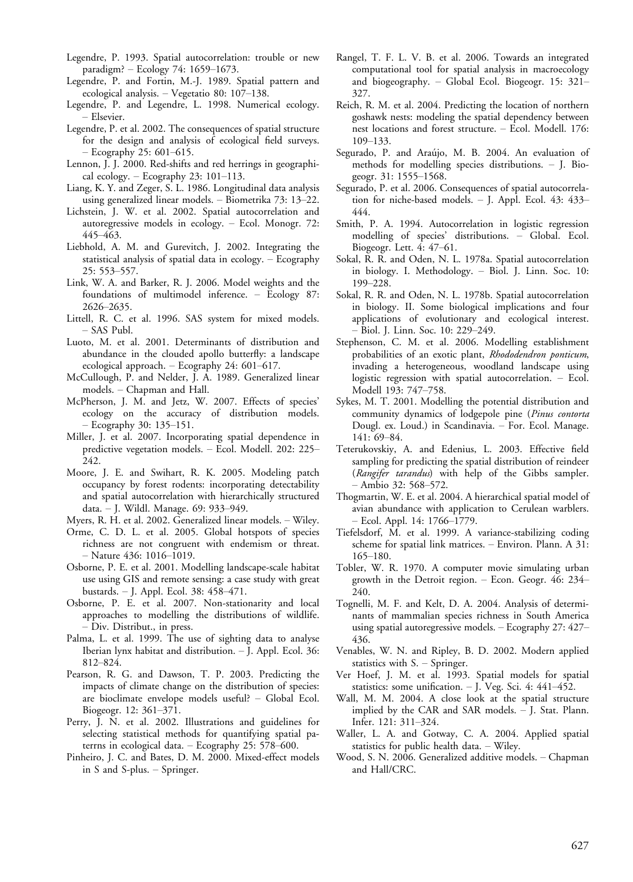- Legendre, P. 1993. Spatial autocorrelation: trouble or new paradigm?  $-$  Ecology 74: 1659–1673.
- Legendre, P. and Fortin, M.-J. 1989. Spatial pattern and ecological analysis.  $-$  Vegetatio 80: 107–138.
- Legendre, P. and Legendre, L. 1998. Numerical ecology. Elsevier.
- Legendre, P. et al. 2002. The consequences of spatial structure for the design and analysis of ecological field surveys.  $-$  Ecography 25: 601–615.
- Lennon, J. J. 2000. Red-shifts and red herrings in geographical ecology.  $-$  Ecography 23: 101-113.
- Liang, K. Y. and Zeger, S. L. 1986. Longitudinal data analysis using generalized linear models. - Biometrika 73: 13-22.
- Lichstein, J. W. et al. 2002. Spatial autocorrelation and autoregressive models in ecology. Ecol. Monogr. 72: 445463.
- Liebhold, A. M. and Gurevitch, J. 2002. Integrating the statistical analysis of spatial data in ecology. Ecography 25: 553-557.
- Link, W. A. and Barker, R. J. 2006. Model weights and the foundations of multimodel inference. - Ecology 87: 26262635.
- Littell, R. C. et al. 1996. SAS system for mixed models.  $-$  SAS Publ.
- Luoto, M. et al. 2001. Determinants of distribution and abundance in the clouded apollo butterfly: a landscape ecological approach.  $-$  Ecography 24: 601–617.
- McCullough, P. and Nelder, J. A. 1989. Generalized linear models. Chapman and Hall.
- McPherson, J. M. and Jetz, W. 2007. Effects of species' ecology on the accuracy of distribution models. - Ecography 30: 135–151.
- Miller, J. et al. 2007. Incorporating spatial dependence in predictive vegetation models. - Ecol. Modell. 202: 225-242.
- Moore, J. E. and Swihart, R. K. 2005. Modeling patch occupancy by forest rodents: incorporating detectability and spatial autocorrelation with hierarchically structured data. - J. Wildl. Manage. 69: 933-949.
- Myers, R. H. et al. 2002. Generalized linear models. Wiley.
- Orme, C. D. L. et al. 2005. Global hotspots of species richness are not congruent with endemism or threat.  $-$  Nature 436: 1016–1019.
- Osborne, P. E. et al. 2001. Modelling landscape-scale habitat use using GIS and remote sensing: a case study with great bustards. - J. Appl. Ecol. 38: 458-471.
- Osborne, P. E. et al. 2007. Non-stationarity and local approaches to modelling the distributions of wildlife. – Div. Distribut., in press.
- Palma, L. et al. 1999. The use of sighting data to analyse Iberian lynx habitat and distribution. - J. Appl. Ecol. 36: 812-824.
- Pearson, R. G. and Dawson, T. P. 2003. Predicting the impacts of climate change on the distribution of species: are bioclimate envelope models useful?  $-$  Global Ecol. Biogeogr. 12: 361-371.
- Perry, J. N. et al. 2002. Illustrations and guidelines for selecting statistical methods for quantifying spatial paterrns in ecological data.  $-$  Ecography 25: 578–600.
- Pinheiro, J. C. and Bates, D. M. 2000. Mixed-effect models in S and S-plus.  $-$  Springer.
- Rangel, T. F. L. V. B. et al. 2006. Towards an integrated computational tool for spatial analysis in macroecology and biogeography.  $-$  Global Ecol. Biogeogr. 15: 321– 327.
- Reich, R. M. et al. 2004. Predicting the location of northern goshawk nests: modeling the spatial dependency between nest locations and forest structure. Ecol. Modell. 176: 109-133.
- Segurado, P. and Araújo, M. B. 2004. An evaluation of methods for modelling species distributions. - J. Biogeogr. 31: 1555-1568.
- Segurado, P. et al. 2006. Consequences of spatial autocorrelation for niche-based models. - J. Appl. Ecol. 43: 433-444.
- Smith, P. A. 1994. Autocorrelation in logistic regression modelling of species' distributions. - Global. Ecol. Biogeogr. Lett. 4: 47-61.
- Sokal, R. R. and Oden, N. L. 1978a. Spatial autocorrelation in biology. I. Methodology. - Biol. J. Linn. Soc. 10: 199-228.
- Sokal, R. R. and Oden, N. L. 1978b. Spatial autocorrelation in biology. II. Some biological implications and four applications of evolutionary and ecological interest. - Biol. J. Linn. Soc. 10: 229-249.
- Stephenson, C. M. et al. 2006. Modelling establishment probabilities of an exotic plant, Rhododendron ponticum, invading a heterogeneous, woodland landscape using logistic regression with spatial autocorrelation. - Ecol. Modell 193: 747-758.
- Sykes, M. T. 2001. Modelling the potential distribution and community dynamics of lodgepole pine (Pinus contorta Dougl. ex. Loud.) in Scandinavia. - For. Ecol. Manage. 141: 69-84.
- Teterukovskiy, A. and Edenius, L. 2003. Effective field sampling for predicting the spatial distribution of reindeer (Rangifer tarandus) with help of the Gibbs sampler.  $-$  Ambio 32: 568–572.
- Thogmartin, W. E. et al. 2004. A hierarchical spatial model of avian abundance with application to Cerulean warblers. - Ecol. Appl. 14: 1766-1779.
- Tiefelsdorf, M. et al. 1999. A variance-stabilizing coding scheme for spatial link matrices. Environ. Plann. A 31: 165-180.
- Tobler, W. R. 1970. A computer movie simulating urban growth in the Detroit region. Econ. Geogr. 46: 234 240.
- Tognelli, M. F. and Kelt, D. A. 2004. Analysis of determinants of mammalian species richness in South America using spatial autoregressive models. - Ecography 27: 427-436.
- Venables, W. N. and Ripley, B. D. 2002. Modern applied statistics with  $S.$  - Springer.
- Ver Hoef, J. M. et al. 1993. Spatial models for spatial statistics: some unification.  $-$  J. Veg. Sci. 4: 441-452.
- Wall, M. M. 2004. A close look at the spatial structure implied by the CAR and SAR models.  $-$  J. Stat. Plann. Infer. 121: 311-324.
- Waller, L. A. and Gotway, C. A. 2004. Applied spatial statistics for public health data.  $-$  Wiley.
- Wood, S. N. 2006. Generalized additive models. Chapman and Hall/CRC.